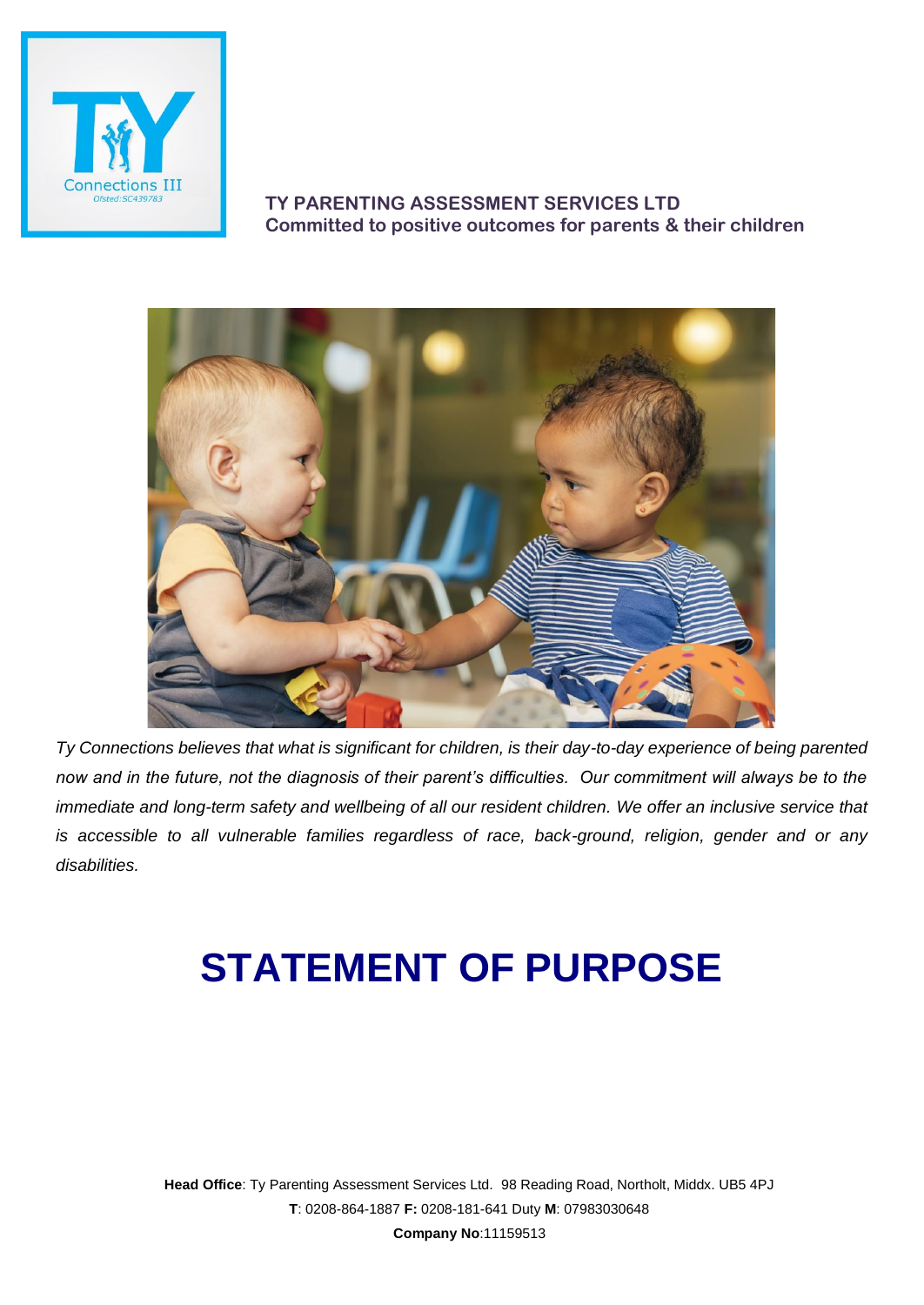

## **TY PARENTING ASSESSMENT SERVICES LTD Committed to positive outcomes for parents & their children**



*Ty Connections believes that what is significant for children, is their day-to-day experience of being parented now and in the future, not the diagnosis of their parent's difficulties. Our commitment will always be to the immediate and long-term safety and wellbeing of all our resident children. We offer an inclusive service that is accessible to all vulnerable families regardless of race, back-ground, religion, gender and or any disabilities.*

# **STATEMENT OF PURPOSE**

**Head Office**: Ty Parenting Assessment Services Ltd. 98 Reading Road, Northolt, Middx. UB5 4PJ **T**: 0208-864-1887 **F:** 0208-181-641 Duty **M**: 07983030648 **Company No**:11159513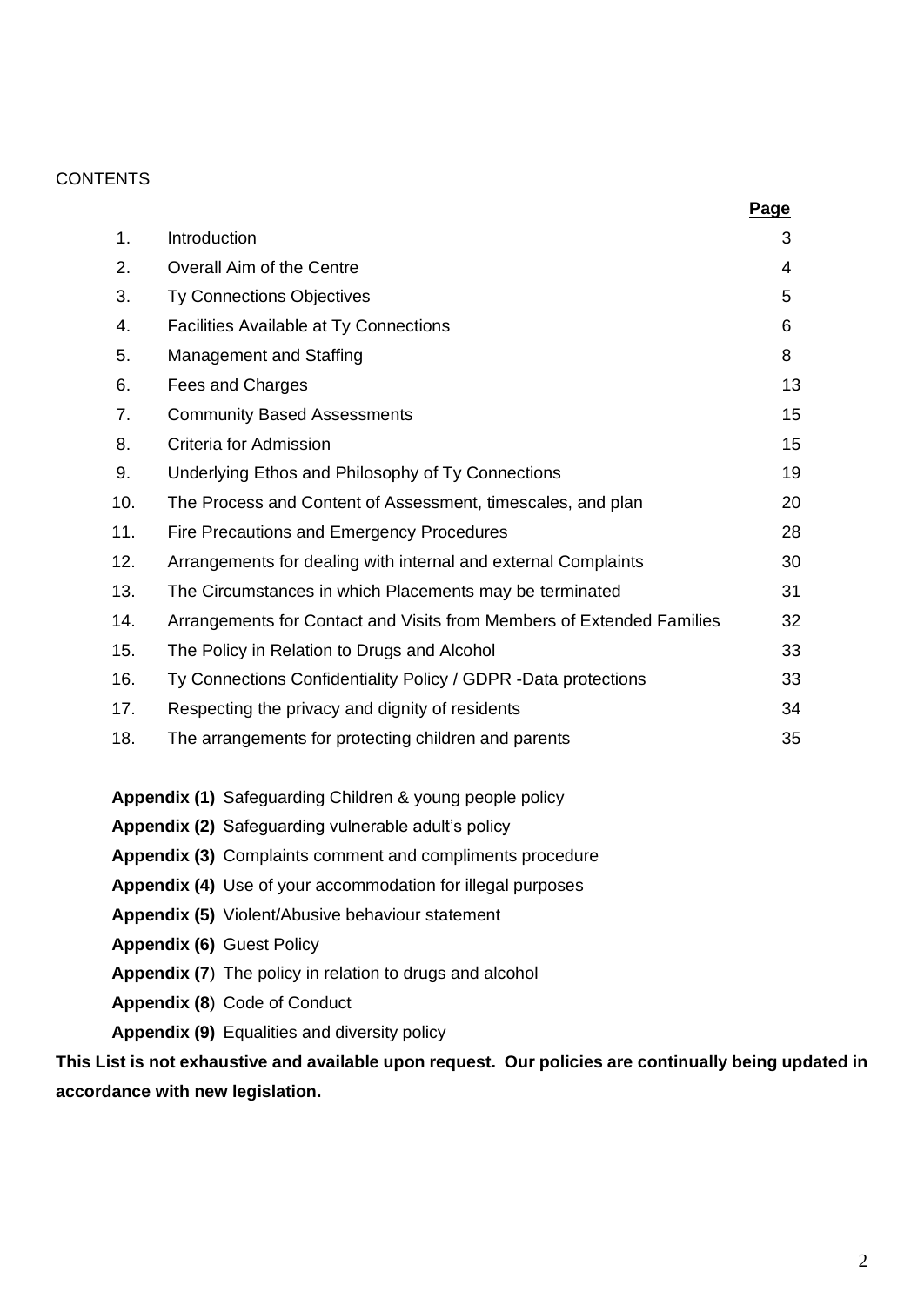## **CONTENTS**

|                                                          |                                                                       | Page |
|----------------------------------------------------------|-----------------------------------------------------------------------|------|
| 1.                                                       | Introduction                                                          | 3    |
| 2.                                                       | Overall Aim of the Centre                                             | 4    |
| 3.                                                       | <b>Ty Connections Objectives</b>                                      | 5    |
| 4.                                                       | <b>Facilities Available at Ty Connections</b>                         | 6    |
| 5.                                                       | <b>Management and Staffing</b>                                        | 8    |
| 6.                                                       | Fees and Charges                                                      | 13   |
| 7.                                                       | <b>Community Based Assessments</b>                                    | 15   |
| 8.                                                       | Criteria for Admission                                                | 15   |
| 9.                                                       | Underlying Ethos and Philosophy of Ty Connections                     | 19   |
| 10.                                                      | The Process and Content of Assessment, timescales, and plan           | 20   |
| 11.                                                      | Fire Precautions and Emergency Procedures                             | 28   |
| 12.                                                      | Arrangements for dealing with internal and external Complaints        | 30   |
| 13.                                                      | The Circumstances in which Placements may be terminated               | 31   |
| 14.                                                      | Arrangements for Contact and Visits from Members of Extended Families | 32   |
| 15.                                                      | The Policy in Relation to Drugs and Alcohol                           | 33   |
| 16.                                                      | Ty Connections Confidentiality Policy / GDPR -Data protections        | 33   |
| 17.                                                      | Respecting the privacy and dignity of residents                       | 34   |
| 18.                                                      | The arrangements for protecting children and parents                  | 35   |
| Appendix (1) Safeguarding Children & young people policy |                                                                       |      |

- **Appendix (2)** Safeguarding vulnerable adult's policy
- **Appendix (3)** Complaints comment and compliments procedure
- **Appendix (4)** Use of your accommodation for illegal purposes
- **Appendix (5)** Violent/Abusive behaviour statement
- **Appendix (6)** Guest Policy
- **Appendix (7**) The policy in relation to drugs and alcohol
- **Appendix (8**) Code of Conduct
- **Appendix (9)** Equalities and diversity policy

**This List is not exhaustive and available upon request. Our policies are continually being updated in accordance with new legislation.**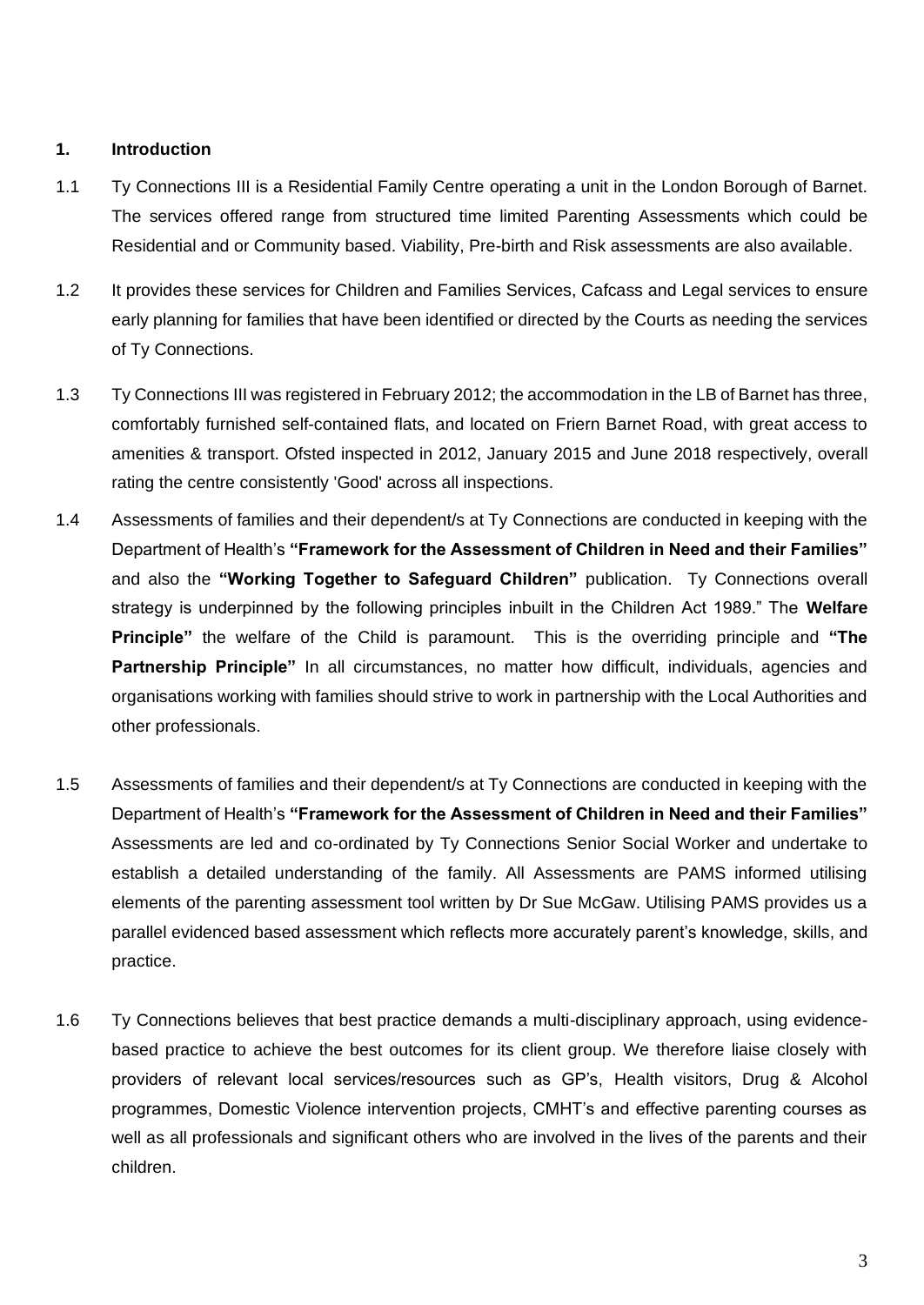## **1. Introduction**

- 1.1 Ty Connections III is a Residential Family Centre operating a unit in the London Borough of Barnet. The services offered range from structured time limited Parenting Assessments which could be Residential and or Community based. Viability, Pre-birth and Risk assessments are also available.
- 1.2 It provides these services for Children and Families Services, Cafcass and Legal services to ensure early planning for families that have been identified or directed by the Courts as needing the services of Ty Connections.
- 1.3 Ty Connections III was registered in February 2012; the accommodation in the LB of Barnet has three, comfortably furnished self-contained flats, and located on Friern Barnet Road, with great access to amenities & transport. Ofsted inspected in 2012, January 2015 [and June 2018 respectively, overall](http://www.tyconnections.com/yahoo_site_admin/assets/docs/Ofsted_Report_2013.364154637.pdf)  rating [the centre consistently 'Good'](http://www.tyconnections.com/yahoo_site_admin/assets/docs/Ofsted_Report_2013.364154637.pdf) across all inspections.
- 1.4 Assessments of families and their dependent/s at Ty Connections are conducted in keeping with the Department of Health's **"Framework for the Assessment of Children in Need and their Families"**  and also the **"Working Together to Safeguard Children"** publication. Ty Connections overall strategy is underpinned by the following principles inbuilt in the Children Act 1989." The **Welfare Principle"** the welfare of the Child is paramount. This is the overriding principle and **"The Partnership Principle"** In all circumstances, no matter how difficult, individuals, agencies and organisations working with families should strive to work in partnership with the Local Authorities and other professionals.
- 1.5 Assessments of families and their dependent/s at Ty Connections are conducted in keeping with the Department of Health's **"Framework for the Assessment of Children in Need and their Families"**  Assessments are led and co-ordinated by Ty Connections Senior Social Worker and undertake to establish a detailed understanding of the family. All Assessments are PAMS informed utilising elements of the parenting assessment tool written by Dr Sue McGaw. Utilising PAMS provides us a parallel evidenced based assessment which reflects more accurately parent's knowledge, skills, and practice.
- 1.6 Ty Connections believes that best practice demands a multi-disciplinary approach, using evidencebased practice to achieve the best outcomes for its client group. We therefore liaise closely with providers of relevant local services/resources such as GP's, Health visitors, Drug & Alcohol programmes, Domestic Violence intervention projects, CMHT's and effective parenting courses as well as all professionals and significant others who are involved in the lives of the parents and their children.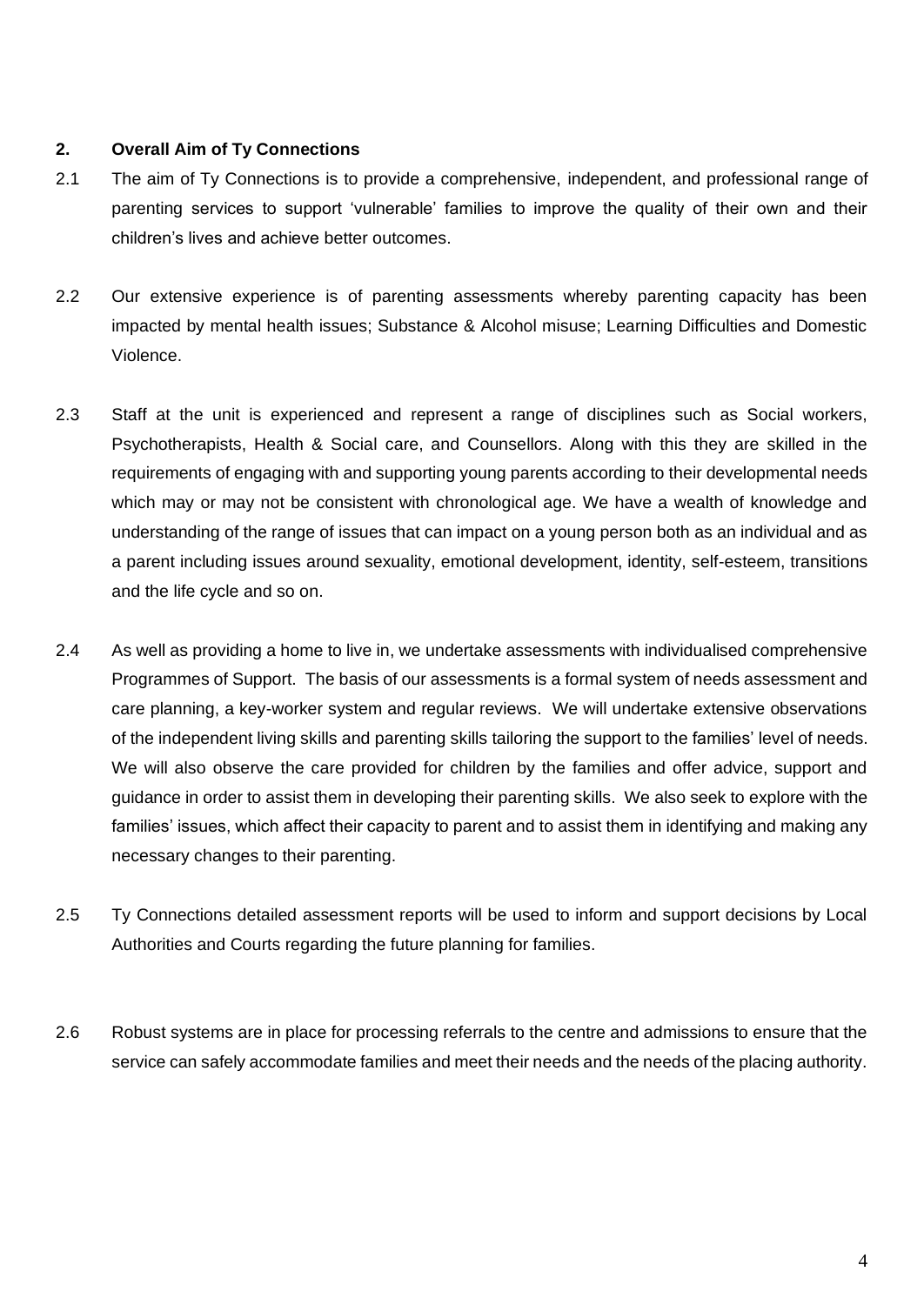## **2. Overall Aim of Ty Connections**

- 2.1 The aim of Ty Connections is to provide a comprehensive, independent, and professional range of parenting services to support 'vulnerable' families to improve the quality of their own and their children's lives and achieve better outcomes.
- 2.2 Our extensive experience is of parenting assessments whereby parenting capacity has been impacted by mental health issues; Substance & Alcohol misuse; Learning Difficulties and Domestic Violence.
- 2.3 Staff at the unit is experienced and represent a range of disciplines such as Social workers, Psychotherapists, Health & Social care, and Counsellors. Along with this they are skilled in the requirements of engaging with and supporting young parents according to their developmental needs which may or may not be consistent with chronological age. We have a wealth of knowledge and understanding of the range of issues that can impact on a young person both as an individual and as a parent including issues around sexuality, emotional development, identity, self-esteem, transitions and the life cycle and so on.
- 2.4 As well as providing a home to live in, we undertake assessments with individualised comprehensive Programmes of Support. The basis of our assessments is a formal system of needs assessment and care planning, a key-worker system and regular reviews. We will undertake extensive observations of the independent living skills and parenting skills tailoring the support to the families' level of needs. We will also observe the care provided for children by the families and offer advice, support and guidance in order to assist them in developing their parenting skills. We also seek to explore with the families' issues, which affect their capacity to parent and to assist them in identifying and making any necessary changes to their parenting.
- 2.5 Ty Connections detailed assessment reports will be used to inform and support decisions by Local Authorities and Courts regarding the future planning for families.
- 2.6 Robust systems are in place for processing referrals to the centre and admissions to ensure that the service can safely accommodate families and meet their needs and the needs of the placing authority.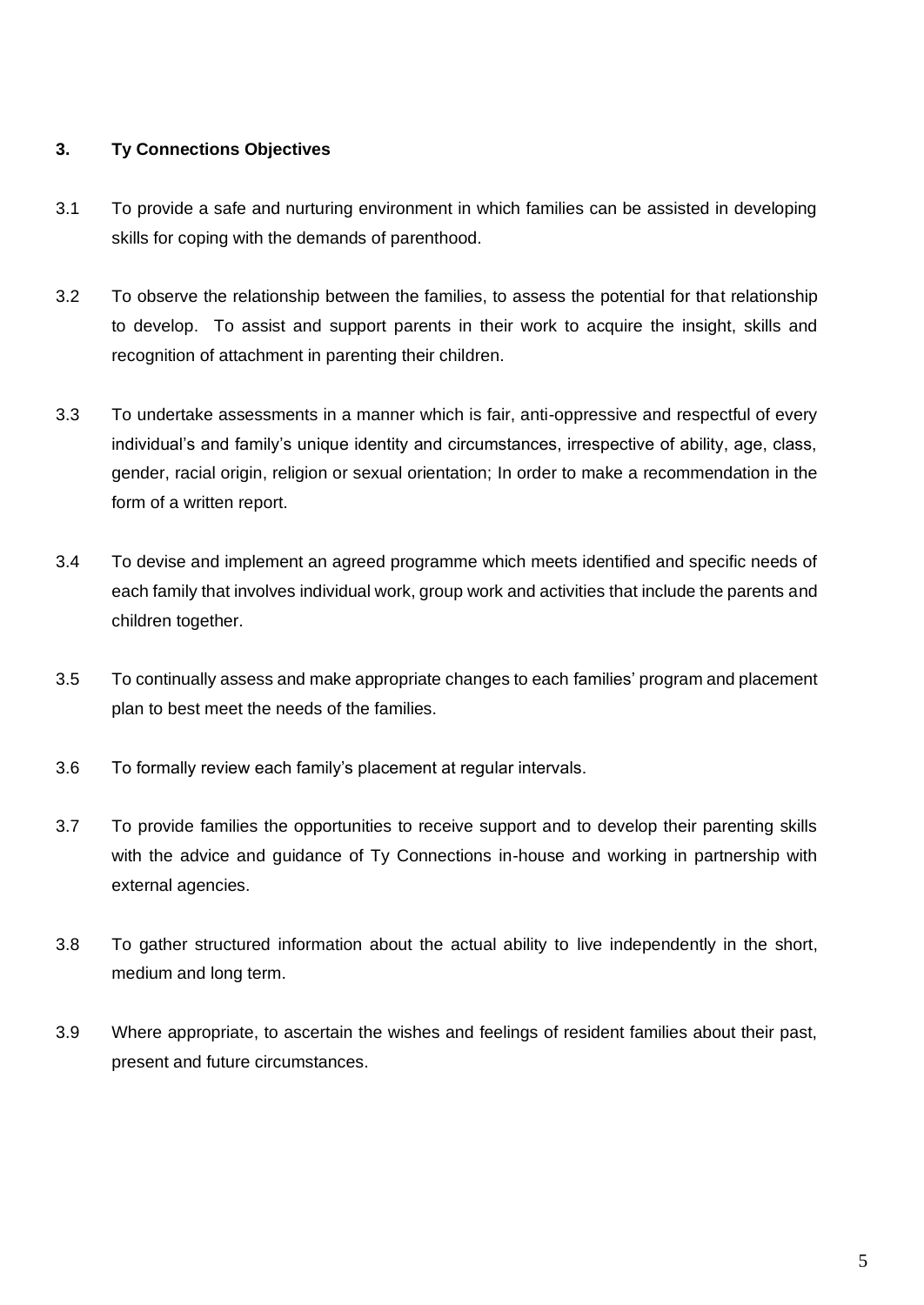## **3. Ty Connections Objectives**

- 3.1 To provide a safe and nurturing environment in which families can be assisted in developing skills for coping with the demands of parenthood.
- 3.2 To observe the relationship between the families, to assess the potential for that relationship to develop. To assist and support parents in their work to acquire the insight, skills and recognition of attachment in parenting their children.
- 3.3 To undertake assessments in a manner which is fair, anti-oppressive and respectful of every individual's and family's unique identity and circumstances, irrespective of ability, age, class, gender, racial origin, religion or sexual orientation; In order to make a recommendation in the form of a written report.
- 3.4 To devise and implement an agreed programme which meets identified and specific needs of each family that involves individual work, group work and activities that include the parents and children together.
- 3.5 To continually assess and make appropriate changes to each families' program and placement plan to best meet the needs of the families.
- 3.6 To formally review each family's placement at regular intervals.
- 3.7 To provide families the opportunities to receive support and to develop their parenting skills with the advice and guidance of Ty Connections in-house and working in partnership with external agencies.
- 3.8 To gather structured information about the actual ability to live independently in the short, medium and long term.
- 3.9 Where appropriate, to ascertain the wishes and feelings of resident families about their past, present and future circumstances.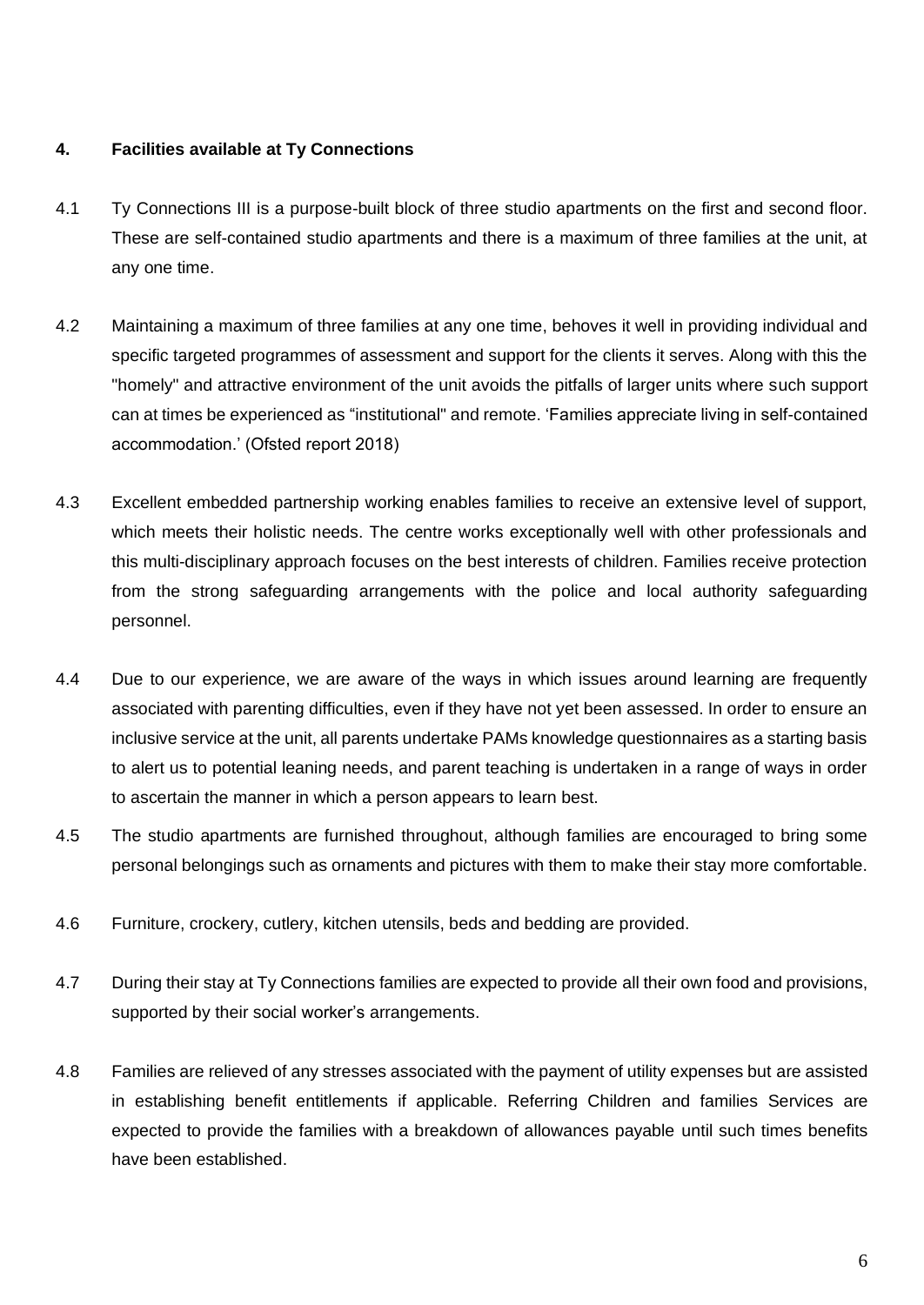## **4. Facilities available at Ty Connections**

- 4.1 Ty Connections III is a purpose-built block of three studio apartments on the first and second floor. These are self-contained studio apartments and there is a maximum of three families at the unit, at any one time.
- 4.2 Maintaining a maximum of three families at any one time, behoves it well in providing individual and specific targeted programmes of assessment and support for the clients it serves. Along with this the "homely" and attractive environment of the unit avoids the pitfalls of larger units where such support can at times be experienced as "institutional" and remote. 'Families appreciate living in self-contained accommodation.' (Ofsted report 2018)
- 4.3 Excellent embedded partnership working enables families to receive an extensive level of support, which meets their holistic needs. The centre works exceptionally well with other professionals and this multi-disciplinary approach focuses on the best interests of children. Families receive protection from the strong safeguarding arrangements with the police and local authority safeguarding personnel.
- 4.4 Due to our experience, we are aware of the ways in which issues around learning are frequently associated with parenting difficulties, even if they have not yet been assessed. In order to ensure an inclusive service at the unit, all parents undertake PAMs knowledge questionnaires as a starting basis to alert us to potential leaning needs, and parent teaching is undertaken in a range of ways in order to ascertain the manner in which a person appears to learn best.
- 4.5 The studio apartments are furnished throughout, although families are encouraged to bring some personal belongings such as ornaments and pictures with them to make their stay more comfortable.
- 4.6 Furniture, crockery, cutlery, kitchen utensils, beds and bedding are provided.
- 4.7 During their stay at Ty Connections families are expected to provide all their own food and provisions, supported by their social worker's arrangements.
- 4.8 Families are relieved of any stresses associated with the payment of utility expenses but are assisted in establishing benefit entitlements if applicable. Referring Children and families Services are expected to provide the families with a breakdown of allowances payable until such times benefits have been established.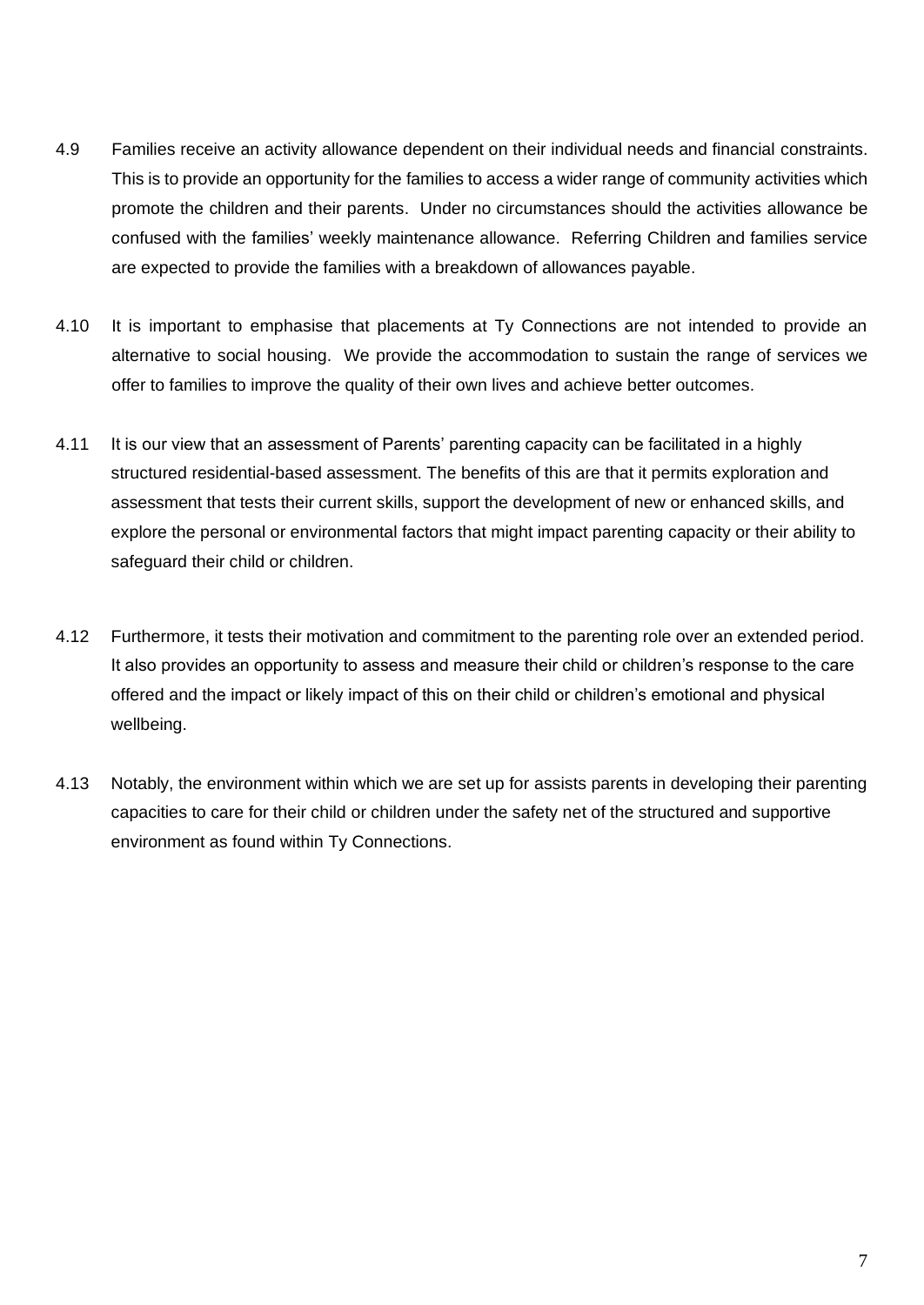- 4.9 Families receive an activity allowance dependent on their individual needs and financial constraints. This is to provide an opportunity for the families to access a wider range of community activities which promote the children and their parents. Under no circumstances should the activities allowance be confused with the families' weekly maintenance allowance. Referring Children and families service are expected to provide the families with a breakdown of allowances payable.
- 4.10 It is important to emphasise that placements at Ty Connections are not intended to provide an alternative to social housing. We provide the accommodation to sustain the range of services we offer to families to improve the quality of their own lives and achieve better outcomes.
- 4.11 It is our view that an assessment of Parents' parenting capacity can be facilitated in a highly structured residential-based assessment. The benefits of this are that it permits exploration and assessment that tests their current skills, support the development of new or enhanced skills, and explore the personal or environmental factors that might impact parenting capacity or their ability to safeguard their child or children.
- 4.12 Furthermore, it tests their motivation and commitment to the parenting role over an extended period. It also provides an opportunity to assess and measure their child or children's response to the care offered and the impact or likely impact of this on their child or children's emotional and physical wellbeing.
- 4.13 Notably, the environment within which we are set up for assists parents in developing their parenting capacities to care for their child or children under the safety net of the structured and supportive environment as found within Ty Connections.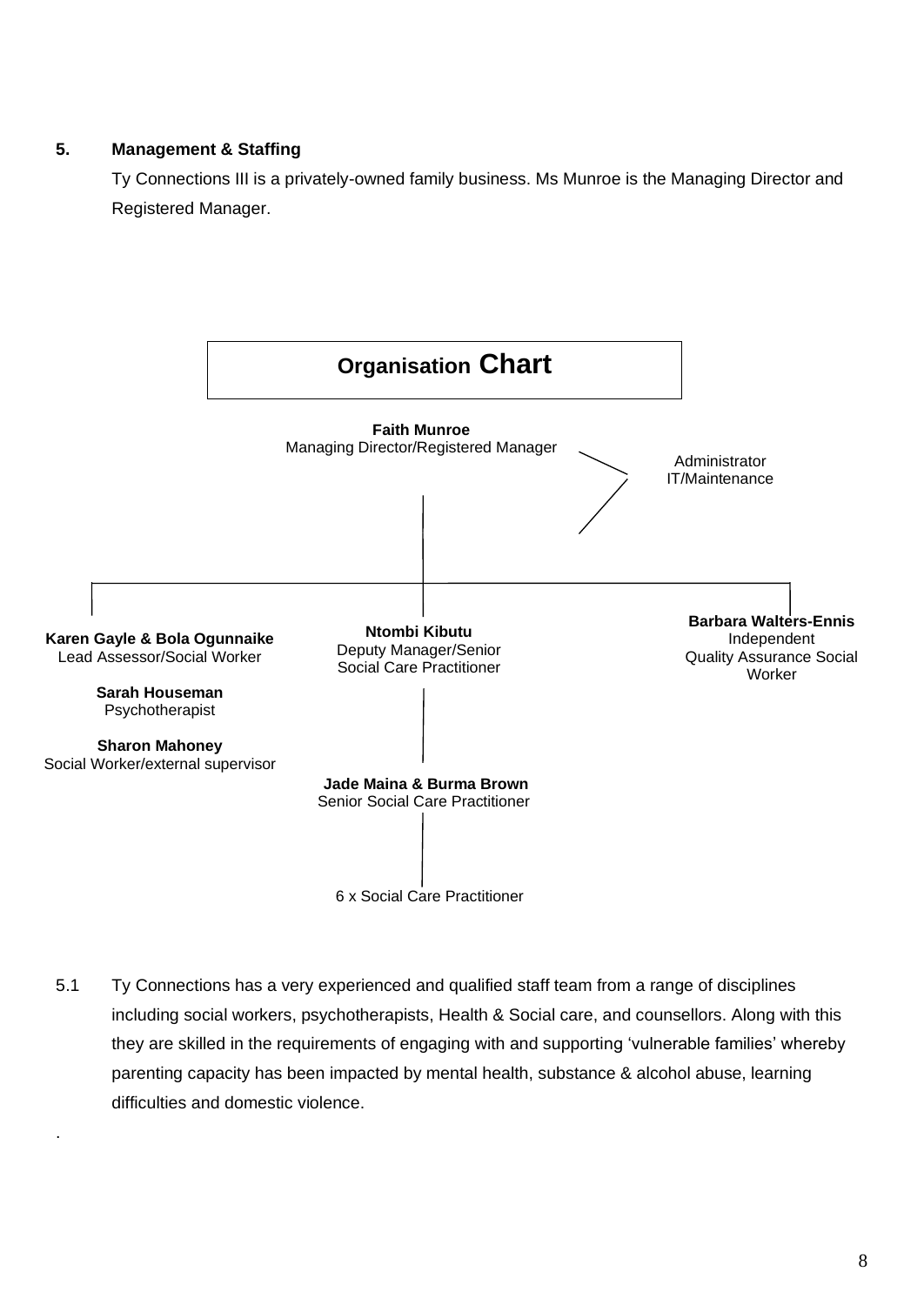## **5. Management & Staffing**

.

Ty Connections III is a privately-owned family business. Ms Munroe is the Managing Director and Registered Manager.





5.1 Ty Connections has a very experienced and qualified staff team from a range of disciplines including social workers, psychotherapists, Health & Social care, and counsellors. Along with this they are skilled in the requirements of engaging with and supporting 'vulnerable families' whereby parenting capacity has been impacted by mental health, substance & alcohol abuse, learning difficulties and domestic violence.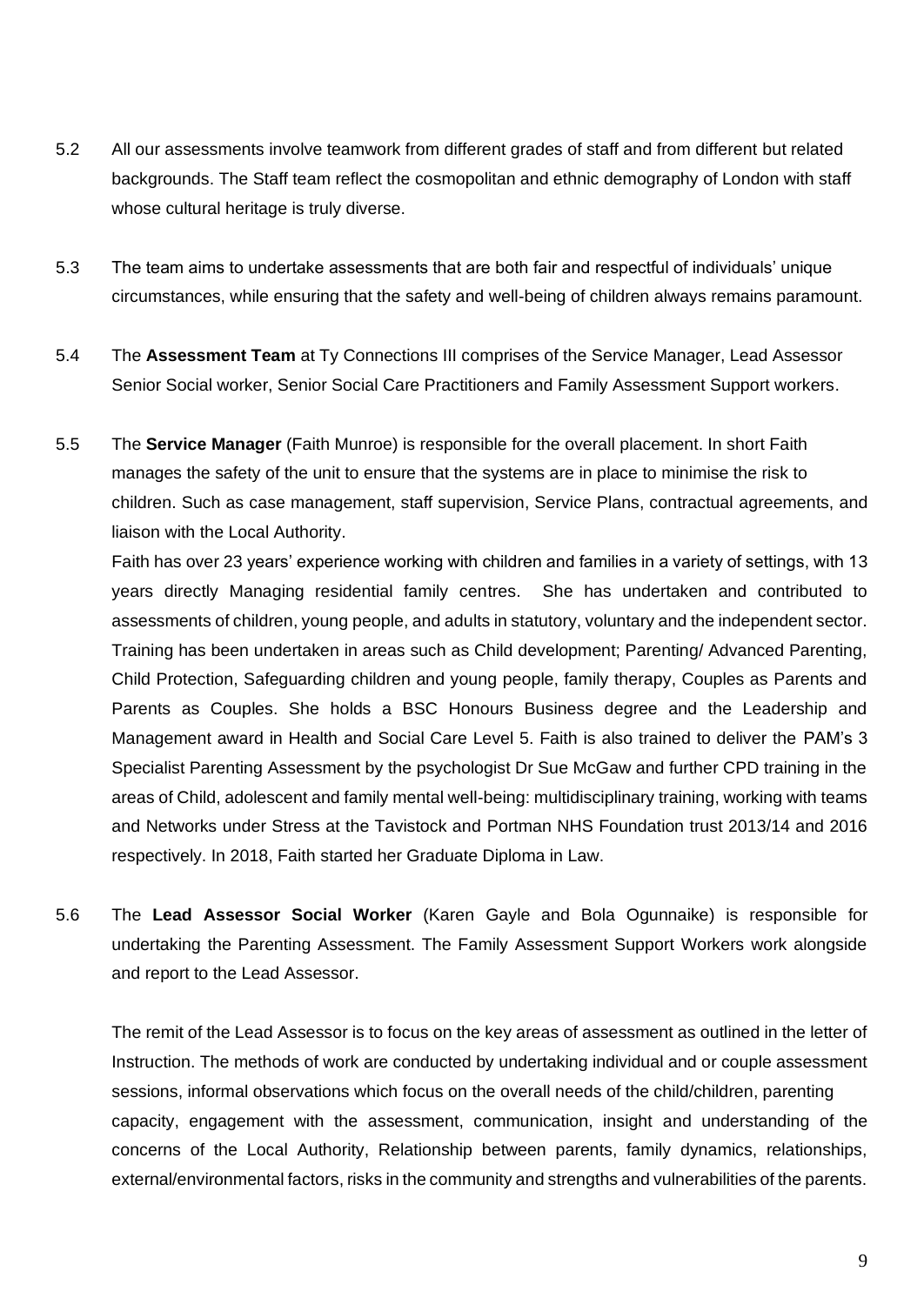- 5.2 All our assessments involve teamwork from different grades of staff and from different but related backgrounds. The Staff team reflect the cosmopolitan and ethnic demography of London with staff whose cultural heritage is truly diverse.
- 5.3 The team aims to undertake assessments that are both fair and respectful of individuals' unique circumstances, while ensuring that the safety and well-being of children always remains paramount.
- 5.4 The **Assessment Team** at Ty Connections III comprises of the Service Manager, Lead Assessor Senior Social worker, Senior Social Care Practitioners and Family Assessment Support workers.
- 5.5 The **Service Manager** (Faith Munroe) is responsible for the overall placement. In short Faith manages the safety of the unit to ensure that the systems are in place to minimise the risk to children. Such as case management, staff supervision, Service Plans, contractual agreements, and liaison with the Local Authority.

Faith has over 23 years' experience working with children and families in a variety of settings, with 13 years directly Managing residential family centres. She has undertaken and contributed to assessments of children, young people, and adults in statutory, voluntary and the independent sector. Training has been undertaken in areas such as Child development; Parenting/ Advanced Parenting, Child Protection, Safeguarding children and young people, family therapy, Couples as Parents and Parents as Couples. She holds a BSC Honours Business degree and the Leadership and Management award in Health and Social Care Level 5. Faith is also trained to deliver the PAM's 3 Specialist Parenting Assessment by the psychologist Dr Sue McGaw and further CPD training in the areas of Child, adolescent and family mental well-being: multidisciplinary training, working with teams and Networks under Stress at the Tavistock and Portman NHS Foundation trust 2013/14 and 2016 respectively. In 2018, Faith started her Graduate Diploma in Law.

5.6 The **Lead Assessor Social Worker** (Karen Gayle and Bola Ogunnaike) is responsible for undertaking the Parenting Assessment. The Family Assessment Support Workers work alongside and report to the Lead Assessor.

The remit of the Lead Assessor is to focus on the key areas of assessment as outlined in the letter of Instruction. The methods of work are conducted by undertaking individual and or couple assessment sessions, informal observations which focus on the overall needs of the child/children, parenting capacity, engagement with the assessment, communication, insight and understanding of the concerns of the Local Authority, Relationship between parents, family dynamics, relationships, external/environmental factors, risks in the community and strengths and vulnerabilities of the parents.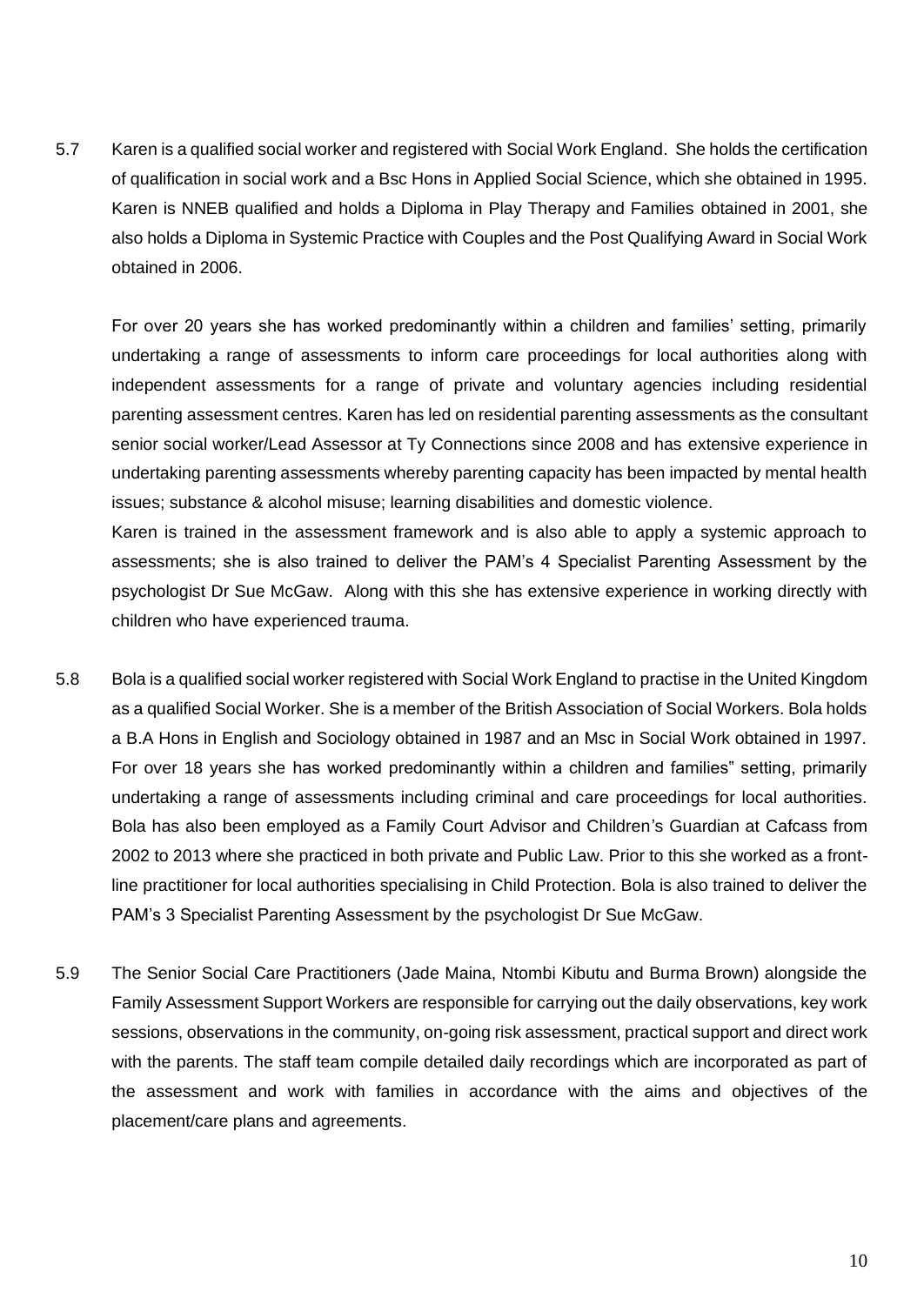5.7 Karen is a qualified social worker and registered with Social Work England. She holds the certification of qualification in social work and a Bsc Hons in Applied Social Science, which she obtained in 1995. Karen is NNEB qualified and holds a Diploma in Play Therapy and Families obtained in 2001, she also holds a Diploma in Systemic Practice with Couples and the Post Qualifying Award in Social Work obtained in 2006.

For over 20 years she has worked predominantly within a children and families' setting, primarily undertaking a range of assessments to inform care proceedings for local authorities along with independent assessments for a range of private and voluntary agencies including residential parenting assessment centres. Karen has led on residential parenting assessments as the consultant senior social worker/Lead Assessor at Ty Connections since 2008 and has extensive experience in undertaking parenting assessments whereby parenting capacity has been impacted by mental health issues; substance & alcohol misuse; learning disabilities and domestic violence.

Karen is trained in the assessment framework and is also able to apply a systemic approach to assessments; she is also trained to deliver the PAM's 4 Specialist Parenting Assessment by the psychologist Dr Sue McGaw. Along with this she has extensive experience in working directly with children who have experienced trauma.

- 5.8 Bola is a qualified social worker registered with Social Work England to practise in the United Kingdom as a qualified Social Worker. She is a member of the British Association of Social Workers. Bola holds a B.A Hons in English and Sociology obtained in 1987 and an Msc in Social Work obtained in 1997. For over 18 years she has worked predominantly within a children and families" setting, primarily undertaking a range of assessments including criminal and care proceedings for local authorities. Bola has also been employed as a Family Court Advisor and Children's Guardian at Cafcass from 2002 to 2013 where she practiced in both private and Public Law. Prior to this she worked as a frontline practitioner for local authorities specialising in Child Protection. Bola is also trained to deliver the PAM's 3 Specialist Parenting Assessment by the psychologist Dr Sue McGaw.
- 5.9 The Senior Social Care Practitioners (Jade Maina, Ntombi Kibutu and Burma Brown) alongside the Family Assessment Support Workers are responsible for carrying out the daily observations, key work sessions, observations in the community, on-going risk assessment, practical support and direct work with the parents. The staff team compile detailed daily recordings which are incorporated as part of the assessment and work with families in accordance with the aims and objectives of the placement/care plans and agreements.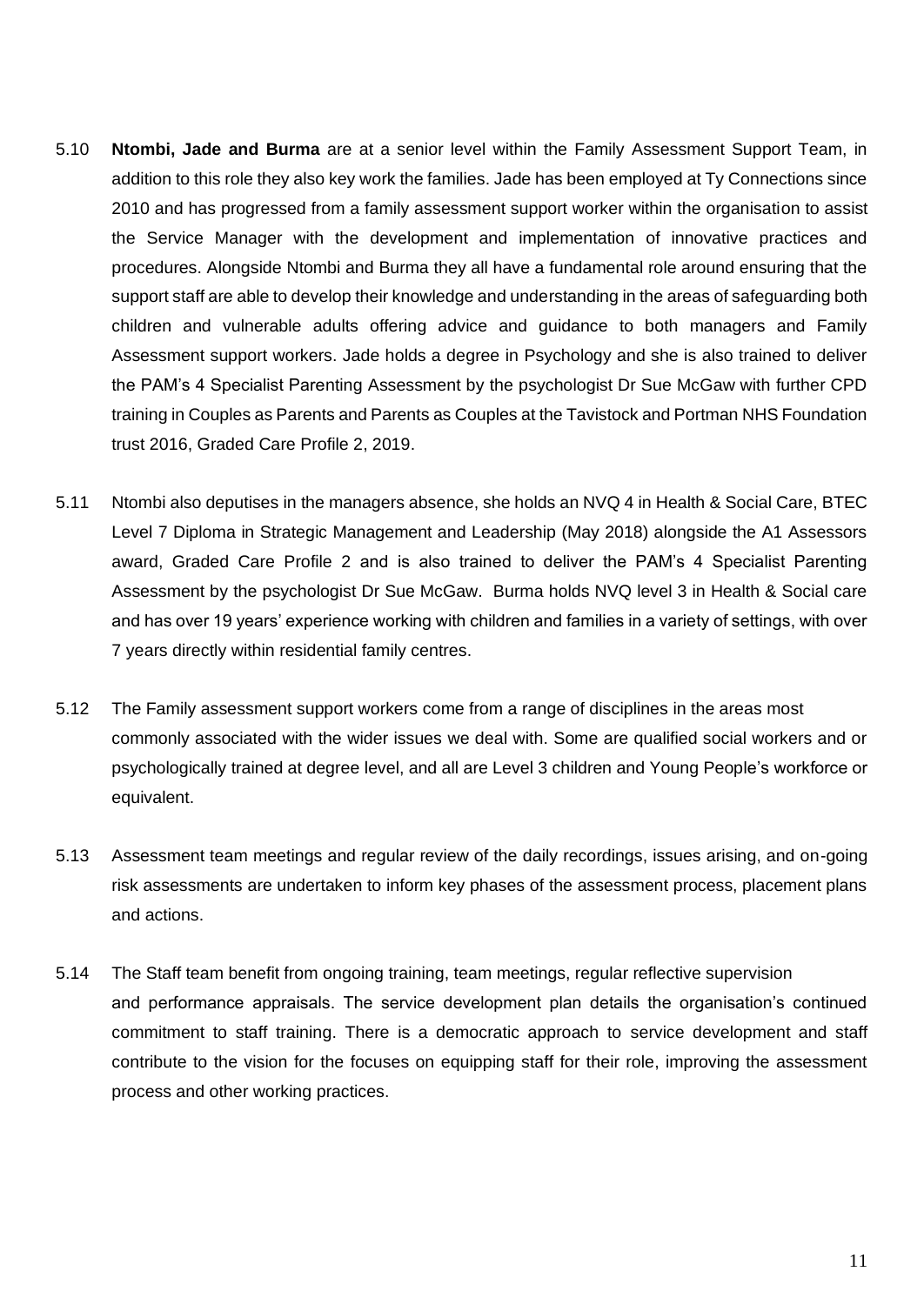- 5.10 **Ntombi, Jade and Burma** are at a senior level within the Family Assessment Support Team, in addition to this role they also key work the families. Jade has been employed at Ty Connections since 2010 and has progressed from a family assessment support worker within the organisation to assist the Service Manager with the development and implementation of innovative practices and procedures. Alongside Ntombi and Burma they all have a fundamental role around ensuring that the support staff are able to develop their knowledge and understanding in the areas of safeguarding both children and vulnerable adults offering advice and guidance to both managers and Family Assessment support workers. Jade holds a degree in Psychology and she is also trained to deliver the PAM's 4 Specialist Parenting Assessment by the psychologist Dr Sue McGaw with further CPD training in Couples as Parents and Parents as Couples at the Tavistock and Portman NHS Foundation trust 2016, Graded Care Profile 2, 2019.
- 5.11 Ntombi also deputises in the managers absence, she holds an NVQ 4 in Health & Social Care, BTEC Level 7 Diploma in Strategic Management and Leadership (May 2018) alongside the A1 Assessors award, Graded Care Profile 2 and is also trained to deliver the PAM's 4 Specialist Parenting Assessment by the psychologist Dr Sue McGaw. Burma holds NVQ level 3 in Health & Social care and has over 19 years' experience working with children and families in a variety of settings, with over 7 years directly within residential family centres.
- 5.12 The Family assessment support workers come from a range of disciplines in the areas most commonly associated with the wider issues we deal with. Some are qualified social workers and or psychologically trained at degree level, and all are Level 3 children and Young People's workforce or equivalent.
- 5.13 Assessment team meetings and regular review of the daily recordings, issues arising, and on-going risk assessments are undertaken to inform key phases of the assessment process, placement plans and actions.
- 5.14 The Staff team benefit from ongoing training, team meetings, regular reflective supervision and performance appraisals. The service development plan details the organisation's continued commitment to staff training. There is a democratic approach to service development and staff contribute to the vision for the focuses on equipping staff for their role, improving the assessment process and other working practices.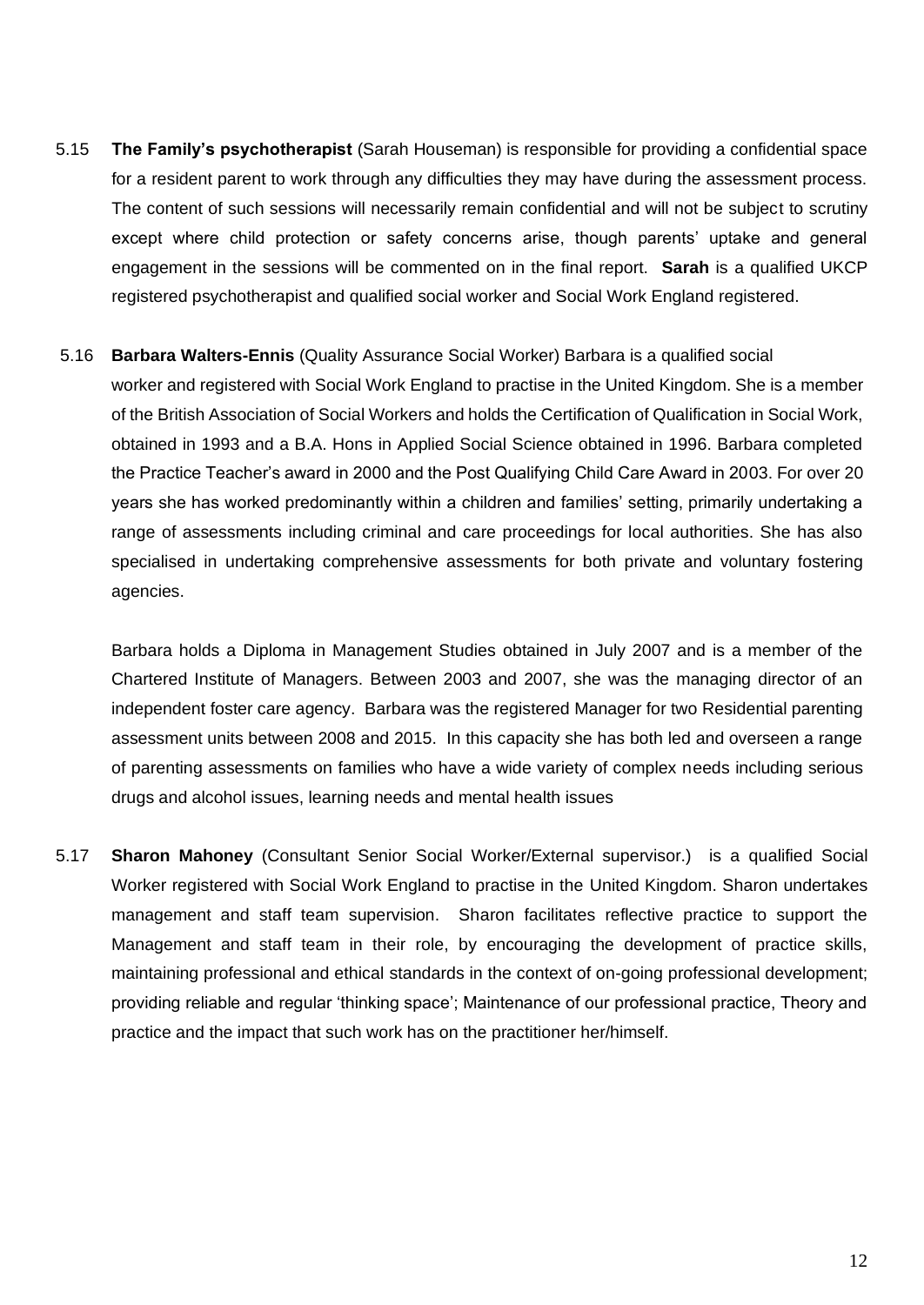5.15 **The Family's psychotherapist** (Sarah Houseman) is responsible for providing a confidential space for a resident parent to work through any difficulties they may have during the assessment process. The content of such sessions will necessarily remain confidential and will not be subject to scrutiny except where child protection or safety concerns arise, though parents' uptake and general engagement in the sessions will be commented on in the final report. **Sarah** is a qualified UKCP registered psychotherapist and qualified social worker and Social Work England registered.

#### 5.16 **Barbara Walters-Ennis** (Quality Assurance Social Worker) Barbara is a qualified social

worker and registered with Social Work England to practise in the United Kingdom. She is a member of the British Association of Social Workers and holds the Certification of Qualification in Social Work, obtained in 1993 and a B.A. Hons in Applied Social Science obtained in 1996. Barbara completed the Practice Teacher's award in 2000 and the Post Qualifying Child Care Award in 2003. For over 20 years she has worked predominantly within a children and families' setting, primarily undertaking a range of assessments including criminal and care proceedings for local authorities. She has also specialised in undertaking comprehensive assessments for both private and voluntary fostering agencies.

Barbara holds a Diploma in Management Studies obtained in July 2007 and is a member of the Chartered Institute of Managers. Between 2003 and 2007, she was the managing director of an independent foster care agency. Barbara was the registered Manager for two Residential parenting assessment units between 2008 and 2015. In this capacity she has both led and overseen a range of parenting assessments on families who have a wide variety of complex needs including serious drugs and alcohol issues, learning needs and mental health issues

5.17 **Sharon Mahoney** (Consultant Senior Social Worker/External supervisor.) is a qualified Social Worker registered with Social Work England to practise in the United Kingdom. Sharon undertakes management and staff team supervision. Sharon facilitates reflective practice to support the Management and staff team in their role, by encouraging the development of practice skills, maintaining professional and ethical standards in the context of on-going professional development; providing reliable and regular 'thinking space'; Maintenance of our professional practice, Theory and practice and the impact that such work has on the practitioner her/himself.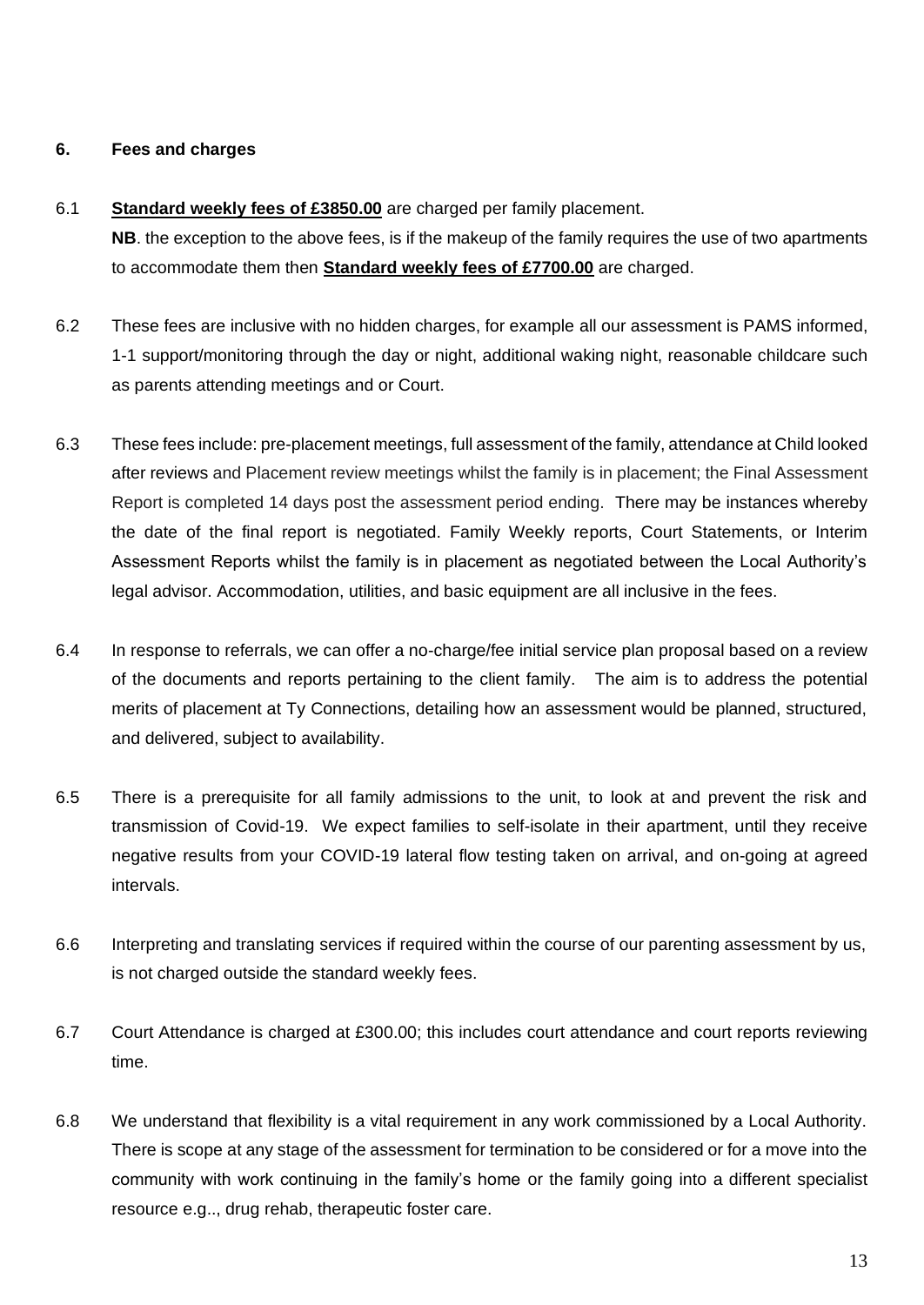## **6. Fees and charges**

## 6.1 **Standard weekly fees of £3850.00** are charged per family placement.

**NB**. the exception to the above fees, is if the makeup of the family requires the use of two apartments to accommodate them then **Standard weekly fees of £7700.00** are charged.

- 6.2 These fees are inclusive with no hidden charges, for example all our assessment is PAMS informed, 1-1 support/monitoring through the day or night, additional waking night, reasonable childcare such as parents attending meetings and or Court.
- 6.3 These fees include: pre-placement meetings, full assessment of the family, attendance at Child looked after reviews and Placement review meetings whilst the family is in placement; the Final Assessment Report is completed 14 days post the assessment period ending. There may be instances whereby the date of the final report is negotiated. Family Weekly reports, Court Statements, or Interim Assessment Reports whilst the family is in placement as negotiated between the Local Authority's legal advisor. Accommodation, utilities, and basic equipment are all inclusive in the fees.
- 6.4 In response to referrals, we can offer a no-charge/fee initial service plan proposal based on a review of the documents and reports pertaining to the client family. The aim is to address the potential merits of placement at Ty Connections, detailing how an assessment would be planned, structured, and delivered, subject to availability.
- 6.5 There is a prerequisite for all family admissions to the unit, to look at and prevent the risk and transmission of Covid-19. We expect families to self-isolate in their apartment, until they receive negative results from your COVID-19 lateral flow testing taken on arrival, and on-going at agreed intervals.
- 6.6 Interpreting and translating services if required within the course of our parenting assessment by us, is not charged outside the standard weekly fees.
- 6.7 Court Attendance is charged at £300.00; this includes court attendance and court reports reviewing time.
- 6.8 We understand that flexibility is a vital requirement in any work commissioned by a Local Authority. There is scope at any stage of the assessment for termination to be considered or for a move into the community with work continuing in the family's home or the family going into a different specialist resource e.g.., drug rehab, therapeutic foster care.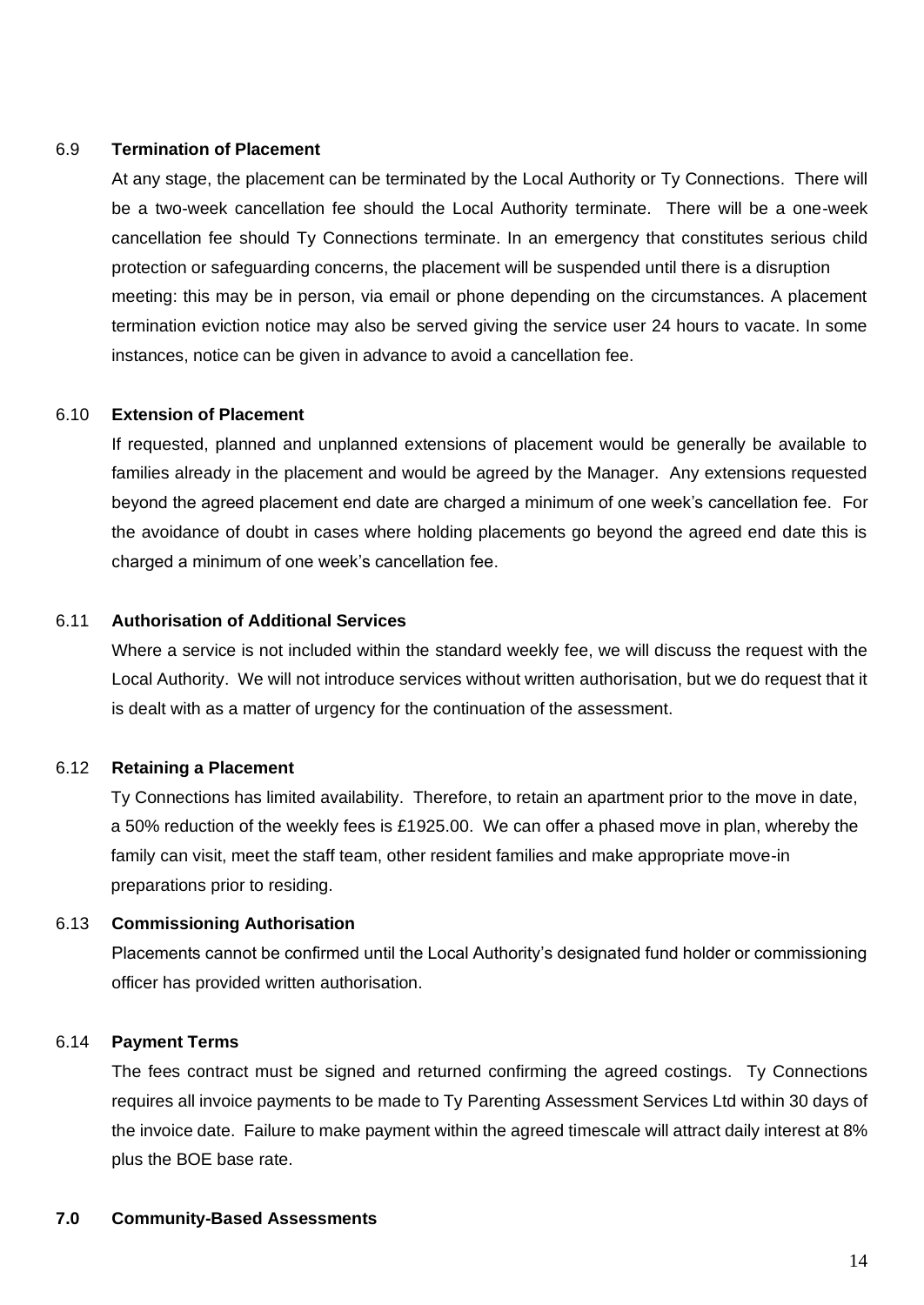#### 6.9 **Termination of Placement**

At any stage, the placement can be terminated by the Local Authority or Ty Connections. There will be a two-week cancellation fee should the Local Authority terminate. There will be a one-week cancellation fee should Ty Connections terminate. In an emergency that constitutes serious child protection or safeguarding concerns, the placement will be suspended until there is a disruption meeting: this may be in person, via email or phone depending on the circumstances. A placement termination eviction notice may also be served giving the service user 24 hours to vacate. In some instances, notice can be given in advance to avoid a cancellation fee.

#### 6.10 **Extension of Placement**

If requested, planned and unplanned extensions of placement would be generally be available to families already in the placement and would be agreed by the Manager. Any extensions requested beyond the agreed placement end date are charged a minimum of one week's cancellation fee. For the avoidance of doubt in cases where holding placements go beyond the agreed end date this is charged a minimum of one week's cancellation fee.

## 6.11 **Authorisation of Additional Services**

Where a service is not included within the standard weekly fee, we will discuss the request with the Local Authority. We will not introduce services without written authorisation, but we do request that it is dealt with as a matter of urgency for the continuation of the assessment.

## 6.12 **Retaining a Placement**

Ty Connections has limited availability. Therefore, to retain an apartment prior to the move in date, a 50% reduction of the weekly fees is £1925.00. We can offer a phased move in plan, whereby the family can visit, meet the staff team, other resident families and make appropriate move-in preparations prior to residing.

#### 6.13 **Commissioning Authorisation**

Placements cannot be confirmed until the Local Authority's designated fund holder or commissioning officer has provided written authorisation.

## 6.14 **Payment Terms**

The fees contract must be signed and returned confirming the agreed costings. Ty Connections requires all invoice payments to be made to Ty Parenting Assessment Services Ltd within 30 days of the invoice date. Failure to make payment within the agreed timescale will attract daily interest at 8% plus the BOE base rate.

#### **7.0 Community-Based Assessments**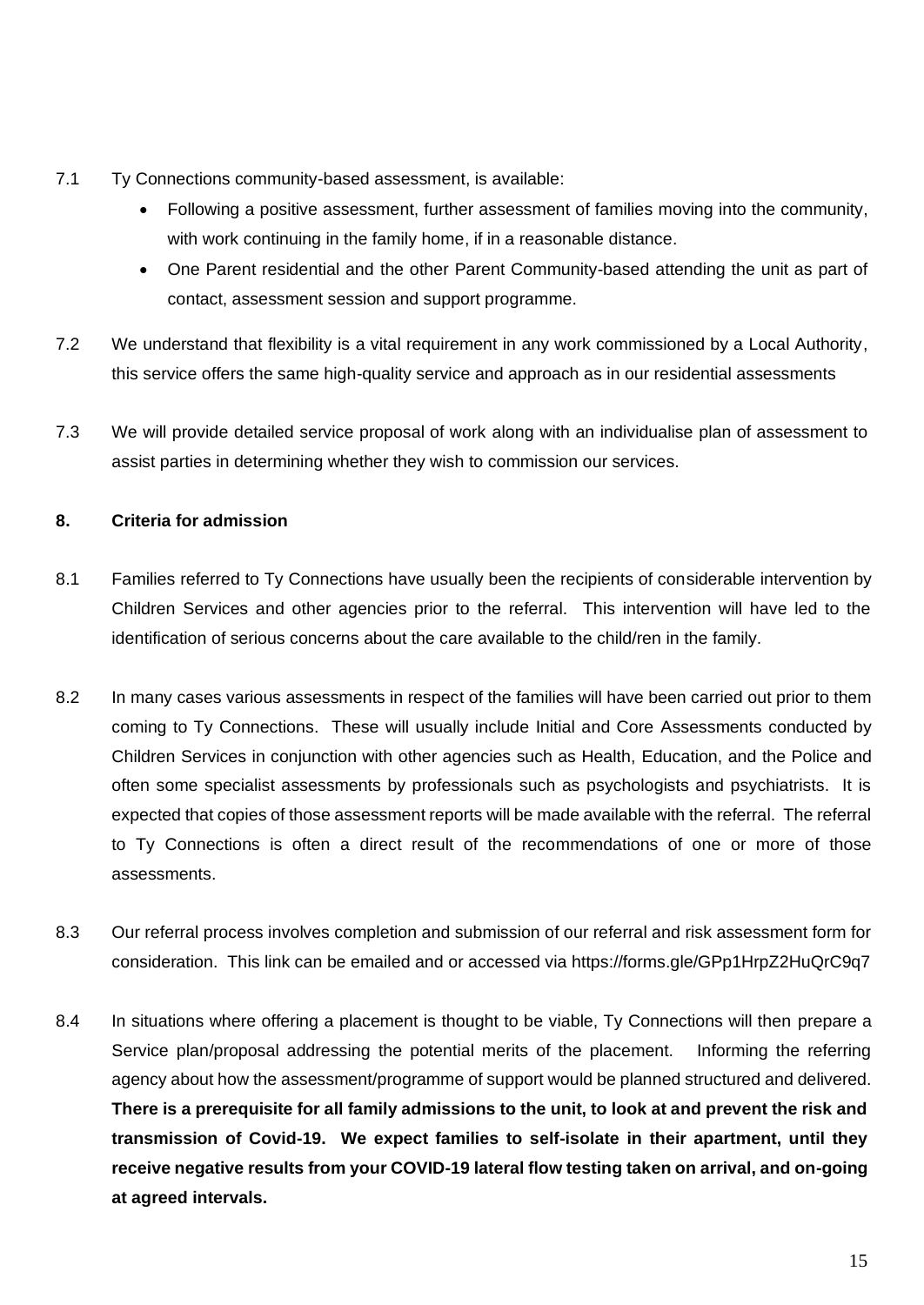- 7.1 Ty Connections community-based assessment, is available:
	- Following a positive assessment, further assessment of families moving into the community, with work continuing in the family home, if in a reasonable distance.
	- One Parent residential and the other Parent Community-based attending the unit as part of contact, assessment session and support programme.
- 7.2 We understand that flexibility is a vital requirement in any work commissioned by a Local Authority, this service offers the same high-quality service and approach as in our residential assessments
- 7.3 We will provide detailed service proposal of work along with an individualise plan of assessment to assist parties in determining whether they wish to commission our services.

## **8. Criteria for admission**

- 8.1 Families referred to Ty Connections have usually been the recipients of considerable intervention by Children Services and other agencies prior to the referral. This intervention will have led to the identification of serious concerns about the care available to the child/ren in the family.
- 8.2 In many cases various assessments in respect of the families will have been carried out prior to them coming to Ty Connections. These will usually include Initial and Core Assessments conducted by Children Services in conjunction with other agencies such as Health, Education, and the Police and often some specialist assessments by professionals such as psychologists and psychiatrists. It is expected that copies of those assessment reports will be made available with the referral. The referral to Ty Connections is often a direct result of the recommendations of one or more of those assessments.
- 8.3 Our referral process involves completion and submission of our referral and risk assessment form for consideration. This link can be emailed and or accessed via https://forms.gle/GPp1HrpZ2HuQrC9q7
- 8.4 In situations where offering a placement is thought to be viable, Ty Connections will then prepare a Service plan/proposal addressing the potential merits of the placement. Informing the referring agency about how the assessment/programme of support would be planned structured and delivered. **There is a prerequisite for all family admissions to the unit, to look at and prevent the risk and transmission of Covid-19. We expect families to self-isolate in their apartment, until they receive negative results from your COVID-19 lateral flow testing taken on arrival, and on-going at agreed intervals.**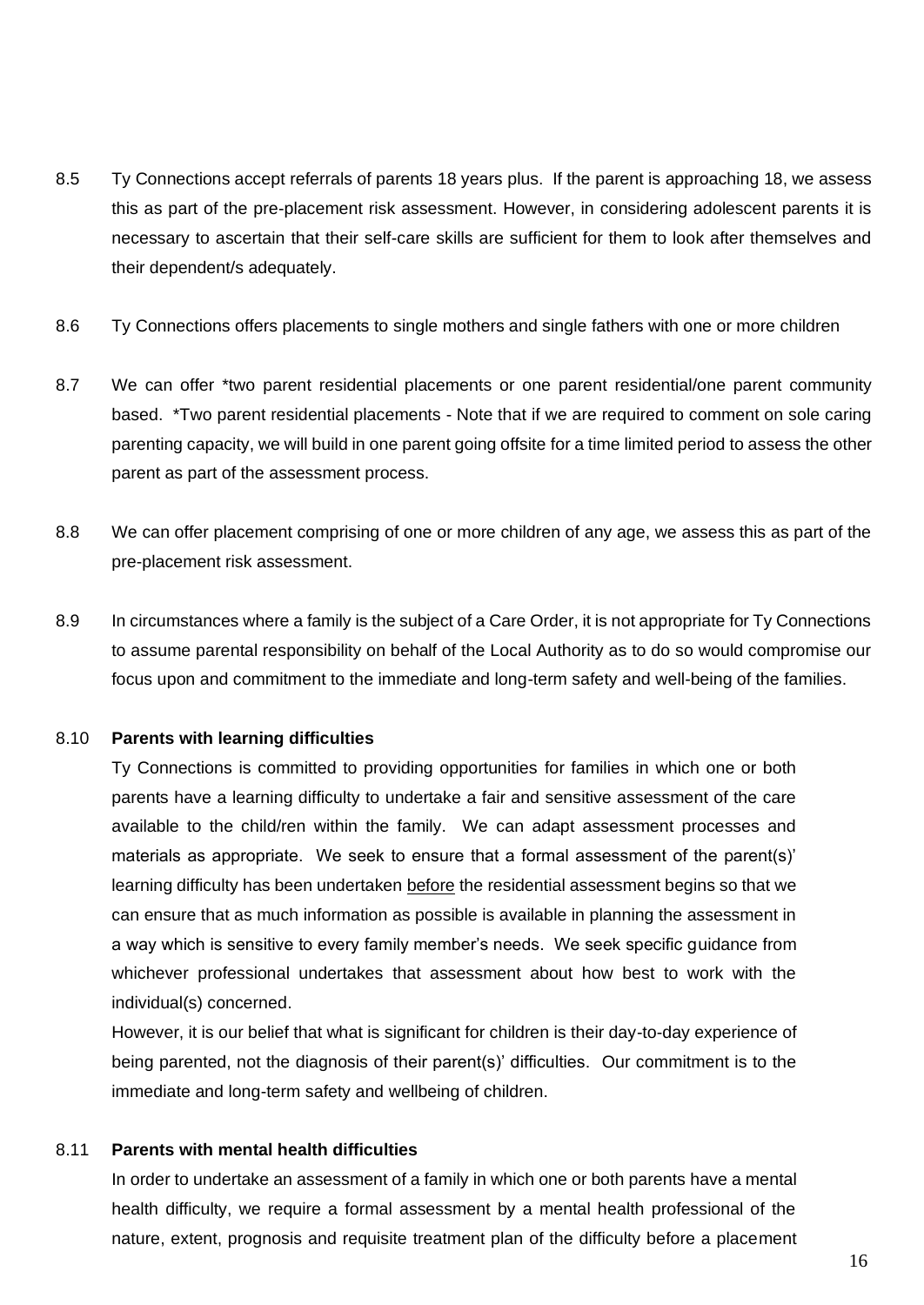- 8.5 Ty Connections accept referrals of parents 18 years plus. If the parent is approaching 18, we assess this as part of the pre-placement risk assessment. However, in considering adolescent parents it is necessary to ascertain that their self-care skills are sufficient for them to look after themselves and their dependent/s adequately.
- 8.6 Ty Connections offers placements to single mothers and single fathers with one or more children
- 8.7 We can offer \*two parent residential placements or one parent residential/one parent community based. \*Two parent residential placements - Note that if we are required to comment on sole caring parenting capacity, we will build in one parent going offsite for a time limited period to assess the other parent as part of the assessment process.
- 8.8 We can offer placement comprising of one or more children of any age, we assess this as part of the pre-placement risk assessment.
- 8.9 In circumstances where a family is the subject of a Care Order, it is not appropriate for Ty Connections to assume parental responsibility on behalf of the Local Authority as to do so would compromise our focus upon and commitment to the immediate and long-term safety and well-being of the families.

#### 8.10 **Parents with learning difficulties**

Ty Connections is committed to providing opportunities for families in which one or both parents have a learning difficulty to undertake a fair and sensitive assessment of the care available to the child/ren within the family. We can adapt assessment processes and materials as appropriate. We seek to ensure that a formal assessment of the parent(s)' learning difficulty has been undertaken before the residential assessment begins so that we can ensure that as much information as possible is available in planning the assessment in a way which is sensitive to every family member's needs. We seek specific guidance from whichever professional undertakes that assessment about how best to work with the individual(s) concerned.

However, it is our belief that what is significant for children is their day-to-day experience of being parented, not the diagnosis of their parent(s)' difficulties. Our commitment is to the immediate and long-term safety and wellbeing of children.

## 8.11 **Parents with mental health difficulties**

In order to undertake an assessment of a family in which one or both parents have a mental health difficulty, we require a formal assessment by a mental health professional of the nature, extent, prognosis and requisite treatment plan of the difficulty before a placement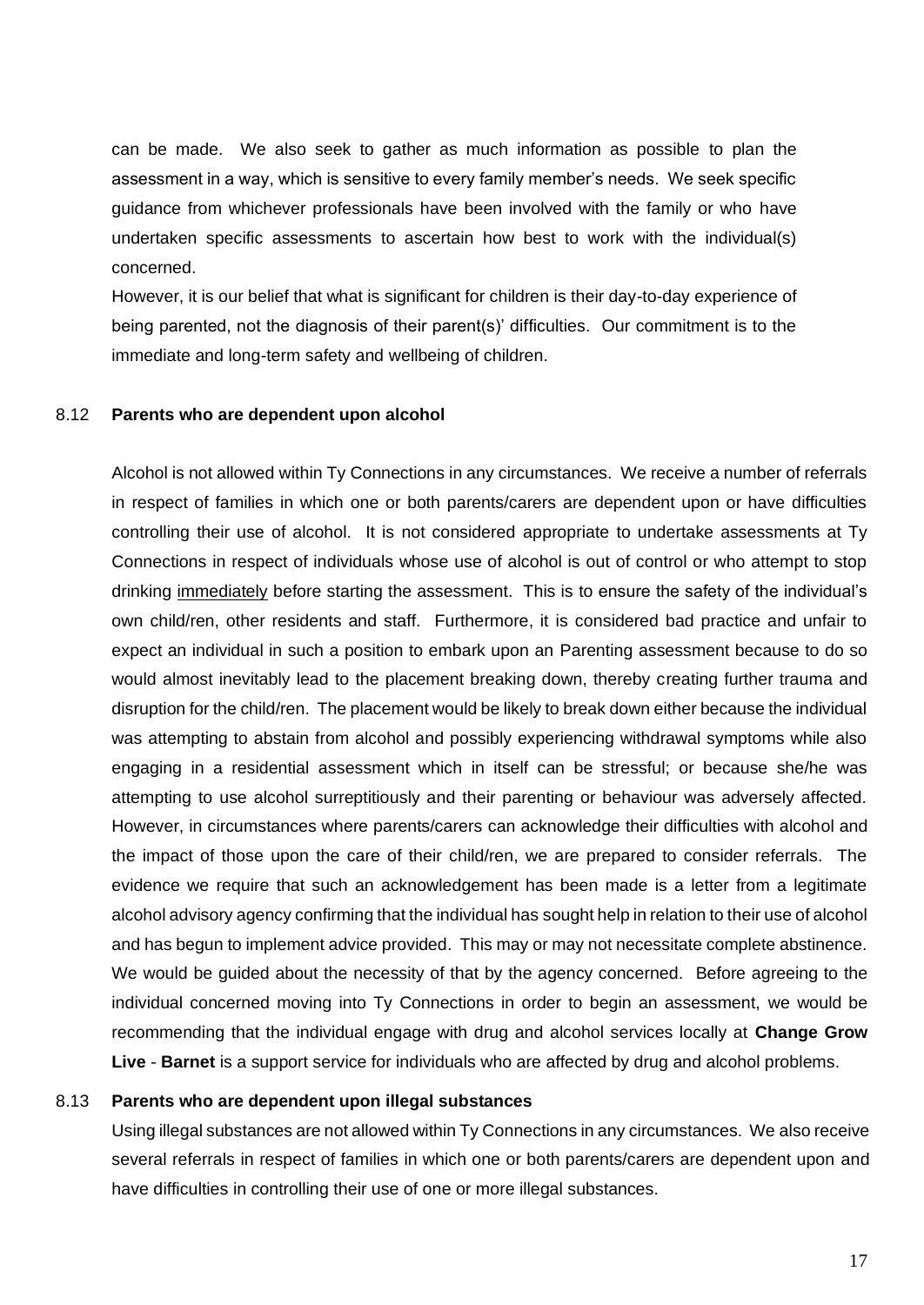can be made. We also seek to gather as much information as possible to plan the assessment in a way, which is sensitive to every family member's needs. We seek specific guidance from whichever professionals have been involved with the family or who have undertaken specific assessments to ascertain how best to work with the individual(s) concerned.

However, it is our belief that what is significant for children is their day-to-day experience of being parented, not the diagnosis of their parent(s)' difficulties. Our commitment is to the immediate and long-term safety and wellbeing of children.

#### 8.12 **Parents who are dependent upon alcohol**

Alcohol is not allowed within Ty Connections in any circumstances. We receive a number of referrals in respect of families in which one or both parents/carers are dependent upon or have difficulties controlling their use of alcohol. It is not considered appropriate to undertake assessments at Ty Connections in respect of individuals whose use of alcohol is out of control or who attempt to stop drinking immediately before starting the assessment. This is to ensure the safety of the individual's own child/ren, other residents and staff. Furthermore, it is considered bad practice and unfair to expect an individual in such a position to embark upon an Parenting assessment because to do so would almost inevitably lead to the placement breaking down, thereby creating further trauma and disruption for the child/ren. The placement would be likely to break down either because the individual was attempting to abstain from alcohol and possibly experiencing withdrawal symptoms while also engaging in a residential assessment which in itself can be stressful; or because she/he was attempting to use alcohol surreptitiously and their parenting or behaviour was adversely affected. However, in circumstances where parents/carers can acknowledge their difficulties with alcohol and the impact of those upon the care of their child/ren, we are prepared to consider referrals. The evidence we require that such an acknowledgement has been made is a letter from a legitimate alcohol advisory agency confirming that the individual has sought help in relation to their use of alcohol and has begun to implement advice provided. This may or may not necessitate complete abstinence. We would be guided about the necessity of that by the agency concerned. Before agreeing to the individual concerned moving into Ty Connections in order to begin an assessment, we would be recommending that the individual engage with drug and alcohol services locally at **Change Grow Live** - **Barnet** is a support service for individuals who are affected by drug and alcohol problems.

#### 8.13 **Parents who are dependent upon illegal substances**

Using illegal substances are not allowed within Ty Connections in any circumstances. We also receive several referrals in respect of families in which one or both parents/carers are dependent upon and have difficulties in controlling their use of one or more illegal substances.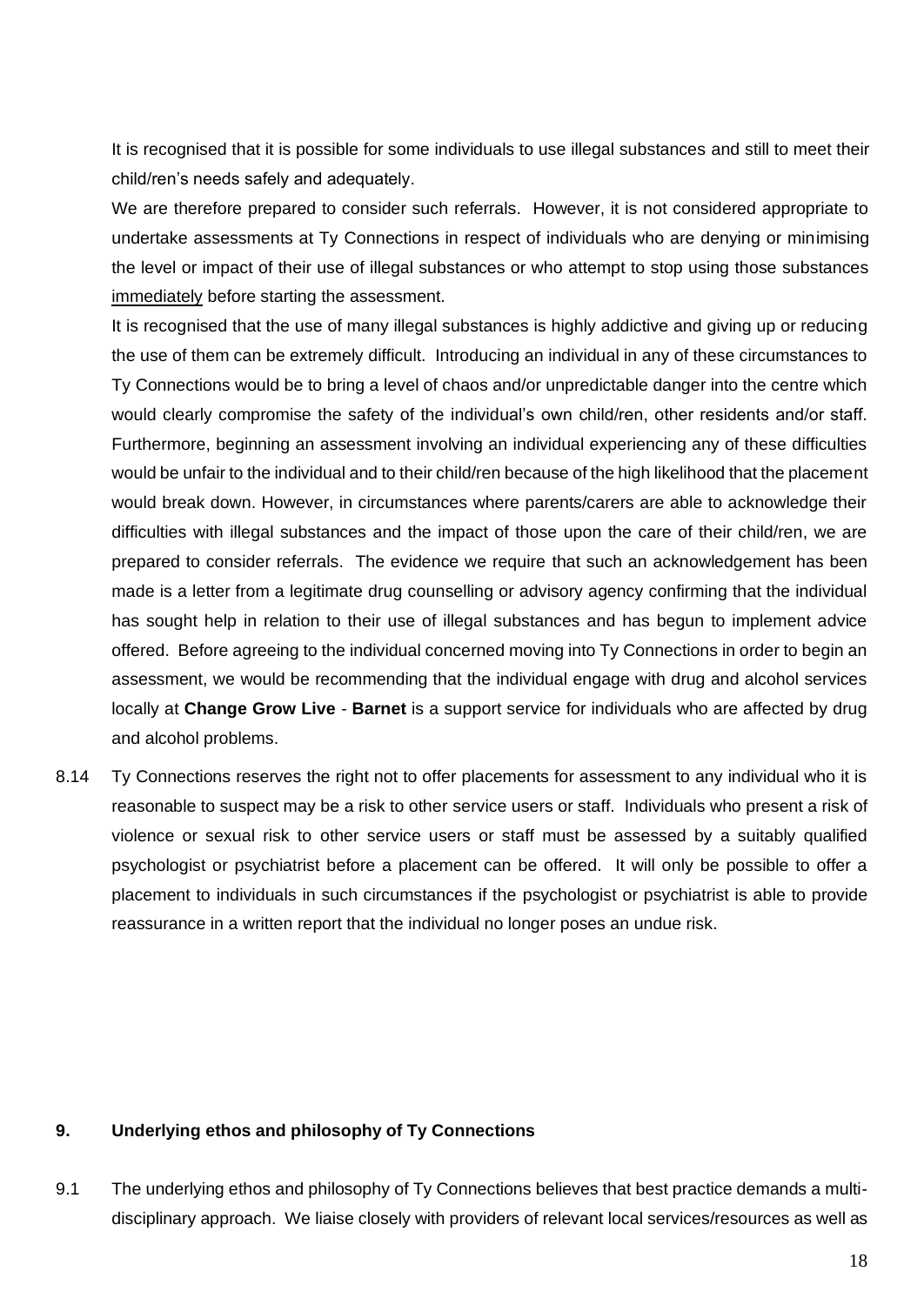It is recognised that it is possible for some individuals to use illegal substances and still to meet their child/ren's needs safely and adequately.

We are therefore prepared to consider such referrals. However, it is not considered appropriate to undertake assessments at Ty Connections in respect of individuals who are denying or minimising the level or impact of their use of illegal substances or who attempt to stop using those substances immediately before starting the assessment.

It is recognised that the use of many illegal substances is highly addictive and giving up or reducing the use of them can be extremely difficult. Introducing an individual in any of these circumstances to Ty Connections would be to bring a level of chaos and/or unpredictable danger into the centre which would clearly compromise the safety of the individual's own child/ren, other residents and/or staff. Furthermore, beginning an assessment involving an individual experiencing any of these difficulties would be unfair to the individual and to their child/ren because of the high likelihood that the placement would break down. However, in circumstances where parents/carers are able to acknowledge their difficulties with illegal substances and the impact of those upon the care of their child/ren, we are prepared to consider referrals. The evidence we require that such an acknowledgement has been made is a letter from a legitimate drug counselling or advisory agency confirming that the individual has sought help in relation to their use of illegal substances and has begun to implement advice offered. Before agreeing to the individual concerned moving into Ty Connections in order to begin an assessment, we would be recommending that the individual engage with drug and alcohol services locally at **Change Grow Live** - **Barnet** is a support service for individuals who are affected by drug and alcohol problems.

8.14 Ty Connections reserves the right not to offer placements for assessment to any individual who it is reasonable to suspect may be a risk to other service users or staff. Individuals who present a risk of violence or sexual risk to other service users or staff must be assessed by a suitably qualified psychologist or psychiatrist before a placement can be offered. It will only be possible to offer a placement to individuals in such circumstances if the psychologist or psychiatrist is able to provide reassurance in a written report that the individual no longer poses an undue risk.

#### **9. Underlying ethos and philosophy of Ty Connections**

9.1 The underlying ethos and philosophy of Ty Connections believes that best practice demands a multidisciplinary approach. We liaise closely with providers of relevant local services/resources as well as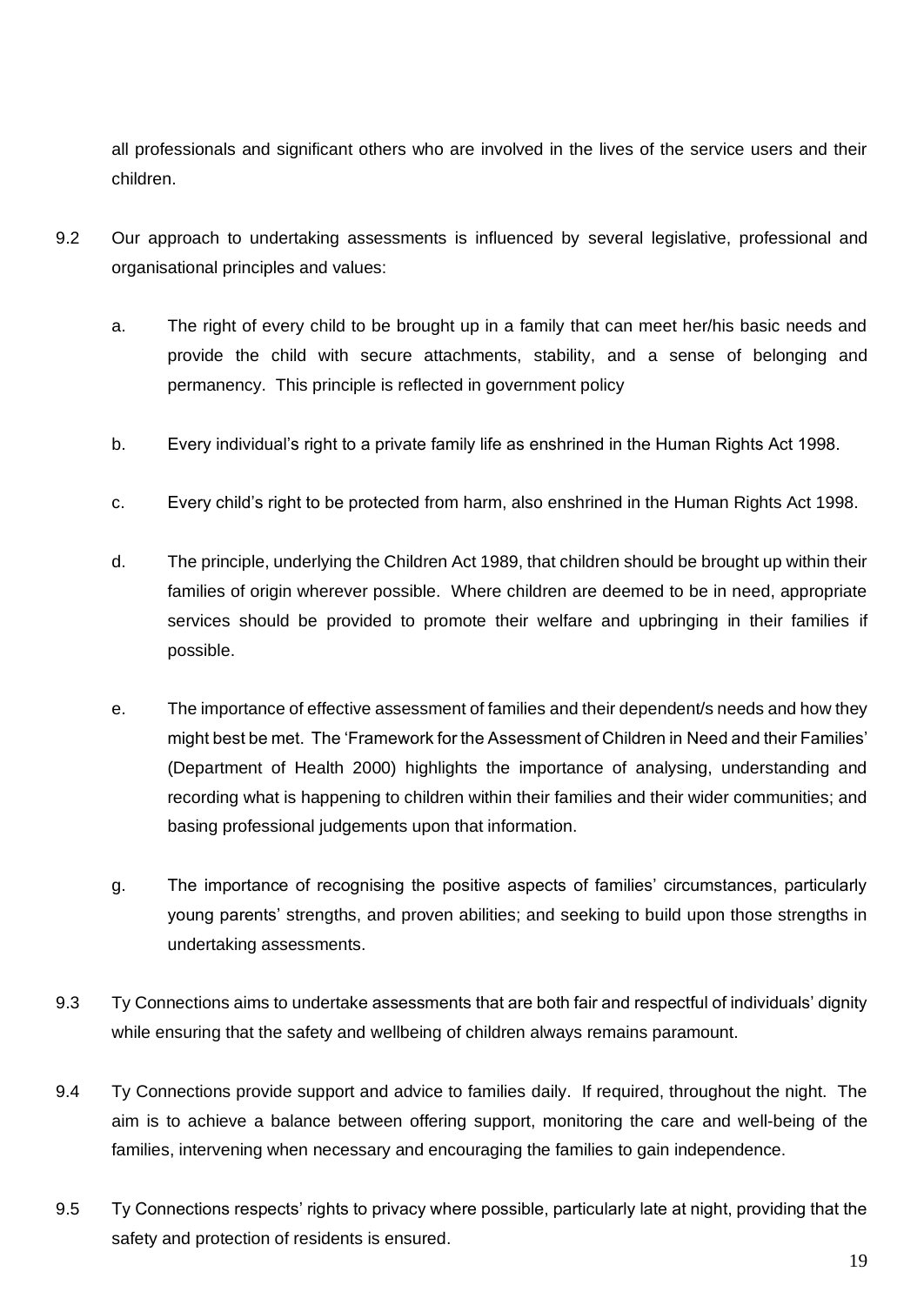all professionals and significant others who are involved in the lives of the service users and their children.

- 9.2 Our approach to undertaking assessments is influenced by several legislative, professional and organisational principles and values:
	- a. The right of every child to be brought up in a family that can meet her/his basic needs and provide the child with secure attachments, stability, and a sense of belonging and permanency. This principle is reflected in government policy
	- b. Every individual's right to a private family life as enshrined in the Human Rights Act 1998.
	- c. Every child's right to be protected from harm, also enshrined in the Human Rights Act 1998.
	- d. The principle, underlying the Children Act 1989, that children should be brought up within their families of origin wherever possible. Where children are deemed to be in need, appropriate services should be provided to promote their welfare and upbringing in their families if possible.
	- e. The importance of effective assessment of families and their dependent/s needs and how they might best be met. The 'Framework for the Assessment of Children in Need and their Families' (Department of Health 2000) highlights the importance of analysing, understanding and recording what is happening to children within their families and their wider communities; and basing professional judgements upon that information.
	- g. The importance of recognising the positive aspects of families' circumstances, particularly young parents' strengths, and proven abilities; and seeking to build upon those strengths in undertaking assessments.
- 9.3 Ty Connections aims to undertake assessments that are both fair and respectful of individuals' dignity while ensuring that the safety and wellbeing of children always remains paramount.
- 9.4 Ty Connections provide support and advice to families daily. If required, throughout the night. The aim is to achieve a balance between offering support, monitoring the care and well-being of the families, intervening when necessary and encouraging the families to gain independence.
- 9.5 Ty Connections respects' rights to privacy where possible, particularly late at night, providing that the safety and protection of residents is ensured.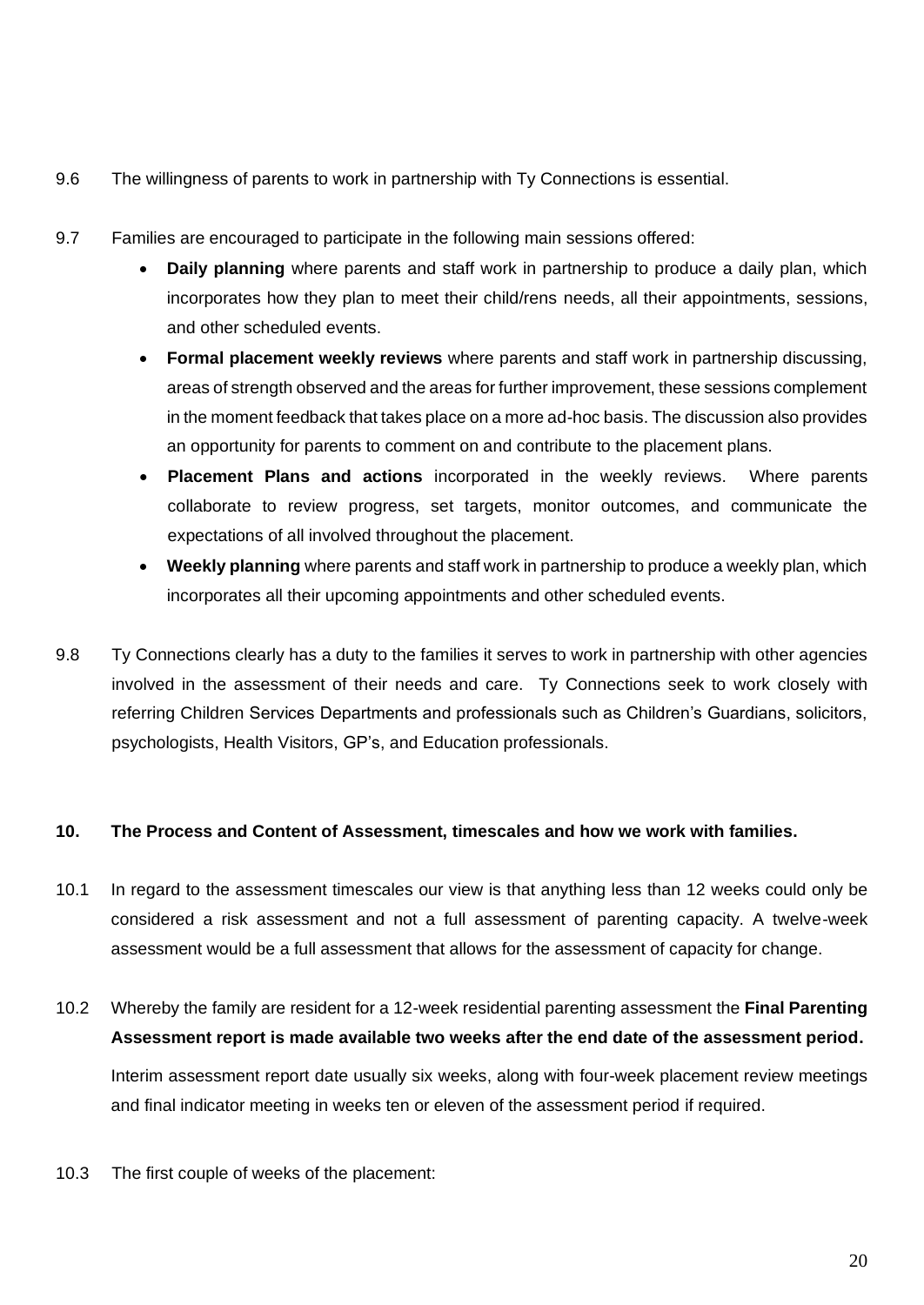- 9.6 The willingness of parents to work in partnership with Ty Connections is essential.
- 9.7 Families are encouraged to participate in the following main sessions offered:
	- **Daily planning** where parents and staff work in partnership to produce a daily plan, which incorporates how they plan to meet their child/rens needs, all their appointments, sessions, and other scheduled events.
	- **Formal placement weekly reviews** where parents and staff work in partnership discussing, areas of strength observed and the areas for further improvement, these sessions complement in the moment feedback that takes place on a more ad-hoc basis. The discussion also provides an opportunity for parents to comment on and contribute to the placement plans.
	- **Placement Plans and actions** incorporated in the weekly reviews. Where parents collaborate to review progress, set targets, monitor outcomes, and communicate the expectations of all involved throughout the placement.
	- **Weekly planning** where parents and staff work in partnership to produce a weekly plan, which incorporates all their upcoming appointments and other scheduled events.
- 9.8 Ty Connections clearly has a duty to the families it serves to work in partnership with other agencies involved in the assessment of their needs and care. Ty Connections seek to work closely with referring Children Services Departments and professionals such as Children's Guardians, solicitors, psychologists, Health Visitors, GP's, and Education professionals.

## **10. The Process and Content of Assessment, timescales and how we work with families.**

- 10.1 In regard to the assessment timescales our view is that anything less than 12 weeks could only be considered a risk assessment and not a full assessment of parenting capacity. A twelve-week assessment would be a full assessment that allows for the assessment of capacity for change.
- 10.2 Whereby the family are resident for a 12-week residential parenting assessment the **Final Parenting Assessment report is made available two weeks after the end date of the assessment period.**  Interim assessment report date usually six weeks, along with four-week placement review meetings and final indicator meeting in weeks ten or eleven of the assessment period if required.
- 10.3 The first couple of weeks of the placement: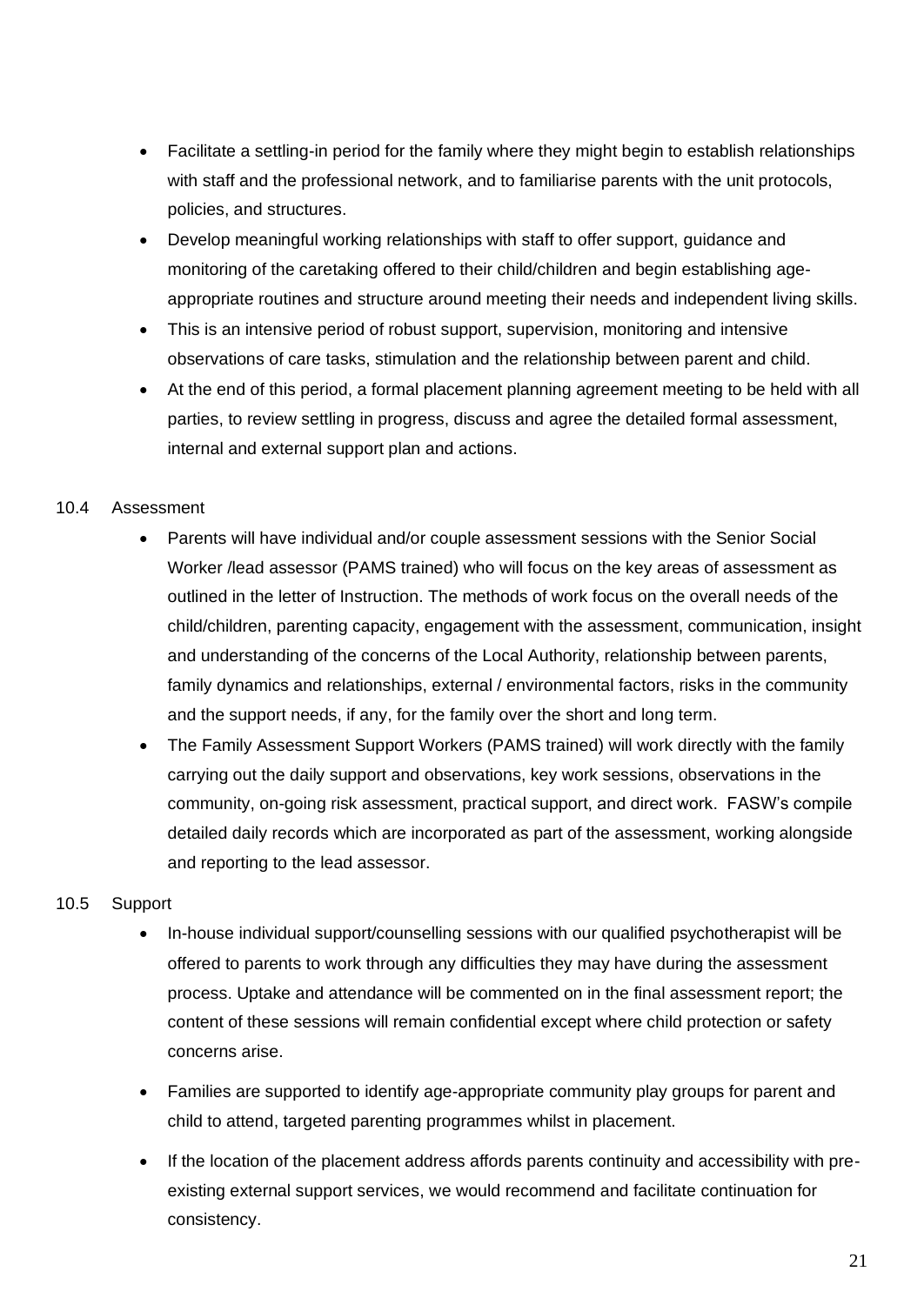- Facilitate a settling-in period for the family where they might begin to establish relationships with staff and the professional network, and to familiarise parents with the unit protocols, policies, and structures.
- Develop meaningful working relationships with staff to offer support, guidance and monitoring of the caretaking offered to their child/children and begin establishing ageappropriate routines and structure around meeting their needs and independent living skills.
- This is an intensive period of robust support, supervision, monitoring and intensive observations of care tasks, stimulation and the relationship between parent and child.
- At the end of this period, a formal placement planning agreement meeting to be held with all parties, to review settling in progress, discuss and agree the detailed formal assessment, internal and external support plan and actions.

## 10.4 Assessment

- Parents will have individual and/or couple assessment sessions with the Senior Social Worker /lead assessor (PAMS trained) who will focus on the key areas of assessment as outlined in the letter of Instruction. The methods of work focus on the overall needs of the child/children, parenting capacity, engagement with the assessment, communication, insight and understanding of the concerns of the Local Authority, relationship between parents, family dynamics and relationships, external / environmental factors, risks in the community and the support needs, if any, for the family over the short and long term.
- The Family Assessment Support Workers (PAMS trained) will work directly with the family carrying out the daily support and observations, key work sessions, observations in the community, on-going risk assessment, practical support, and direct work. FASW's compile detailed daily records which are incorporated as part of the assessment, working alongside and reporting to the lead assessor.

## 10.5 Support

- In-house individual support/counselling sessions with our qualified psychotherapist will be offered to parents to work through any difficulties they may have during the assessment process. Uptake and attendance will be commented on in the final assessment report; the content of these sessions will remain confidential except where child protection or safety concerns arise.
- Families are supported to identify age-appropriate community play groups for parent and child to attend, targeted parenting programmes whilst in placement.
- If the location of the placement address affords parents continuity and accessibility with preexisting external support services, we would recommend and facilitate continuation for consistency.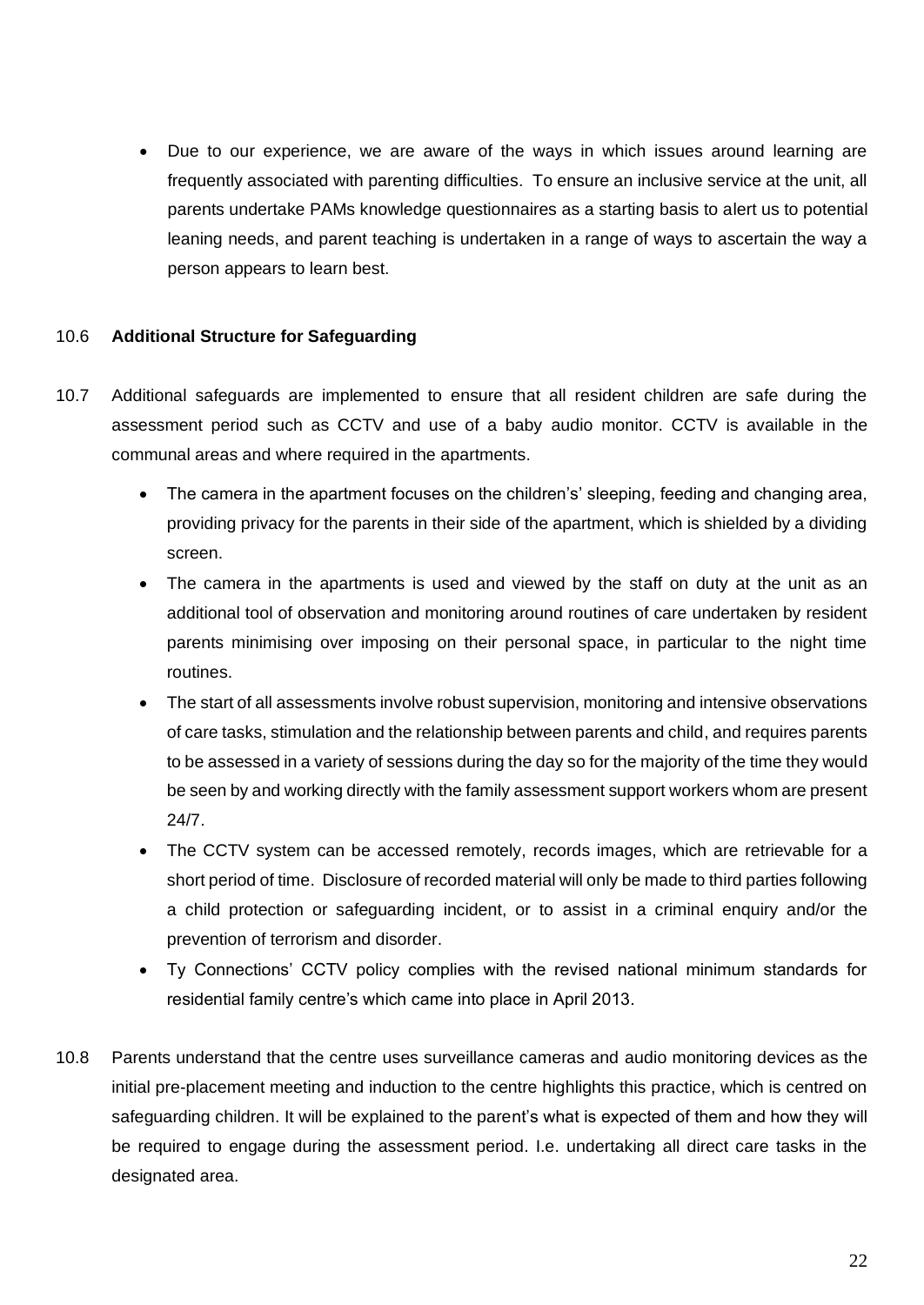• Due to our experience, we are aware of the ways in which issues around learning are frequently associated with parenting difficulties. To ensure an inclusive service at the unit, all parents undertake PAMs knowledge questionnaires as a starting basis to alert us to potential leaning needs, and parent teaching is undertaken in a range of ways to ascertain the way a person appears to learn best.

## 10.6 **Additional Structure for Safeguarding**

- 10.7 Additional safeguards are implemented to ensure that all resident children are safe during the assessment period such as CCTV and use of a baby audio monitor. CCTV is available in the communal areas and where required in the apartments.
	- The camera in the apartment focuses on the children's' sleeping, feeding and changing area, providing privacy for the parents in their side of the apartment, which is shielded by a dividing screen.
	- The camera in the apartments is used and viewed by the staff on duty at the unit as an additional tool of observation and monitoring around routines of care undertaken by resident parents minimising over imposing on their personal space, in particular to the night time routines.
	- The start of all assessments involve robust supervision, monitoring and intensive observations of care tasks, stimulation and the relationship between parents and child, and requires parents to be assessed in a variety of sessions during the day so for the majority of the time they would be seen by and working directly with the family assessment support workers whom are present 24/7.
	- The CCTV system can be accessed remotely, records images, which are retrievable for a short period of time. Disclosure of recorded material will only be made to third parties following a child protection or safeguarding incident, or to assist in a criminal enquiry and/or the prevention of terrorism and disorder.
	- Ty Connections' CCTV policy complies with the revised national minimum standards for residential family centre's which came into place in April 2013.
- 10.8 Parents understand that the centre uses surveillance cameras and audio monitoring devices as the initial pre-placement meeting and induction to the centre highlights this practice, which is centred on safeguarding children. It will be explained to the parent's what is expected of them and how they will be required to engage during the assessment period. I.e. undertaking all direct care tasks in the designated area.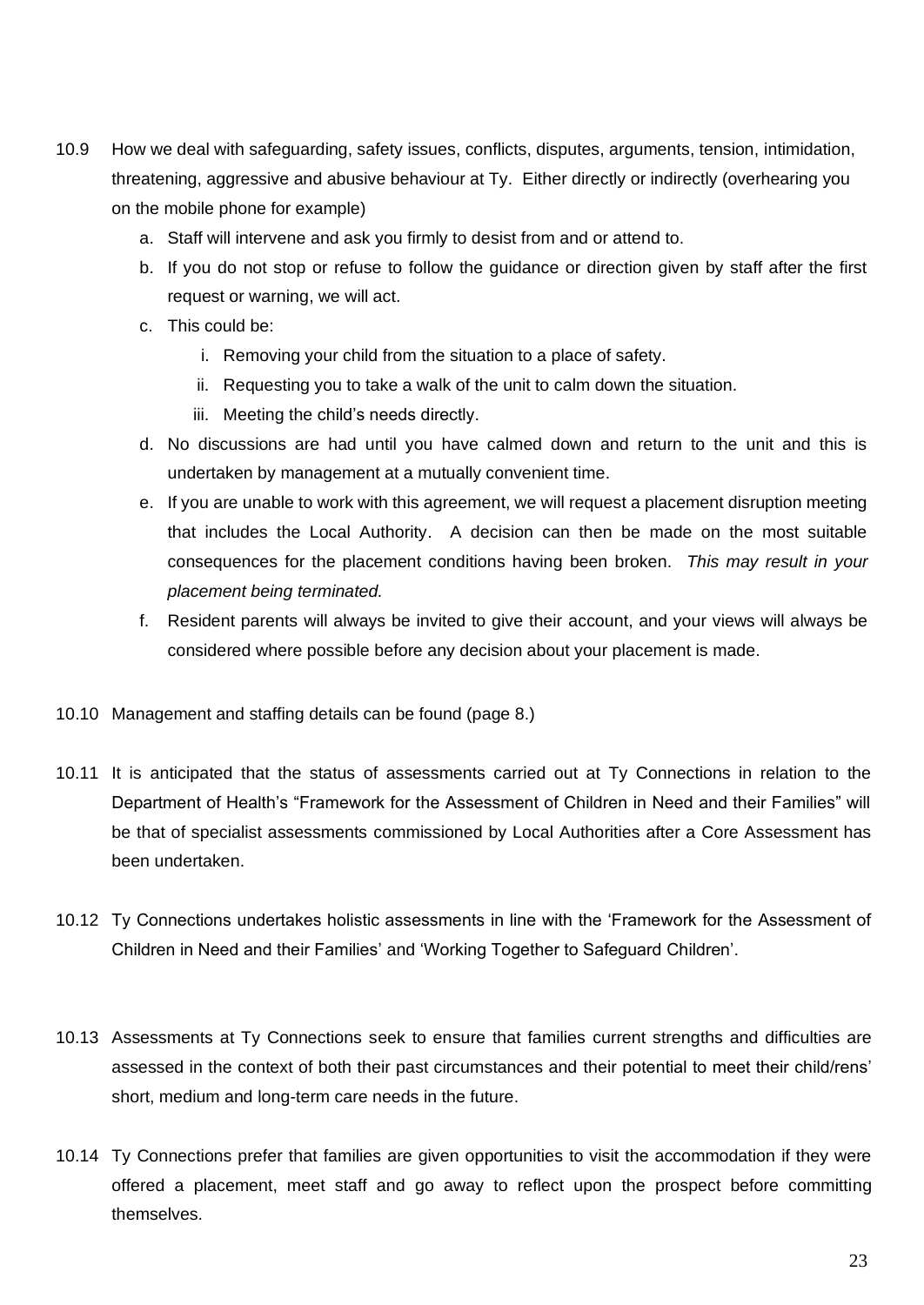- 10.9 How we deal with safeguarding, safety issues, conflicts, disputes, arguments, tension, intimidation, threatening, aggressive and abusive behaviour at Ty.Either directly or indirectly (overhearing you on the mobile phone for example)
	- a. Staff will intervene and ask you firmly to desist from and or attend to.
	- b. If you do not stop or refuse to follow the guidance or direction given by staff after the first request or warning, we will act.
	- c. This could be:
		- i. Removing your child from the situation to a place of safety.
		- ii. Requesting you to take a walk of the unit to calm down the situation.
		- iii. Meeting the child's needs directly.
	- d. No discussions are had until you have calmed down and return to the unit and this is undertaken by management at a mutually convenient time.
	- e. If you are unable to work with this agreement, we will request a placement disruption meeting that includes the Local Authority. A decision can then be made on the most suitable consequences for the placement conditions having been broken. *This may result in your placement being terminated.*
	- f. Resident parents will always be invited to give their account, and your views will always be considered where possible before any decision about your placement is made.
- 10.10 Management and staffing details can be found (page 8.)
- 10.11 It is anticipated that the status of assessments carried out at Ty Connections in relation to the Department of Health's "Framework for the Assessment of Children in Need and their Families" will be that of specialist assessments commissioned by Local Authorities after a Core Assessment has been undertaken.
- 10.12 Ty Connections undertakes holistic assessments in line with the 'Framework for the Assessment of Children in Need and their Families' and 'Working Together to Safeguard Children'.
- 10.13 Assessments at Ty Connections seek to ensure that families current strengths and difficulties are assessed in the context of both their past circumstances and their potential to meet their child/rens' short, medium and long-term care needs in the future.
- 10.14 Ty Connections prefer that families are given opportunities to visit the accommodation if they were offered a placement, meet staff and go away to reflect upon the prospect before committing themselves.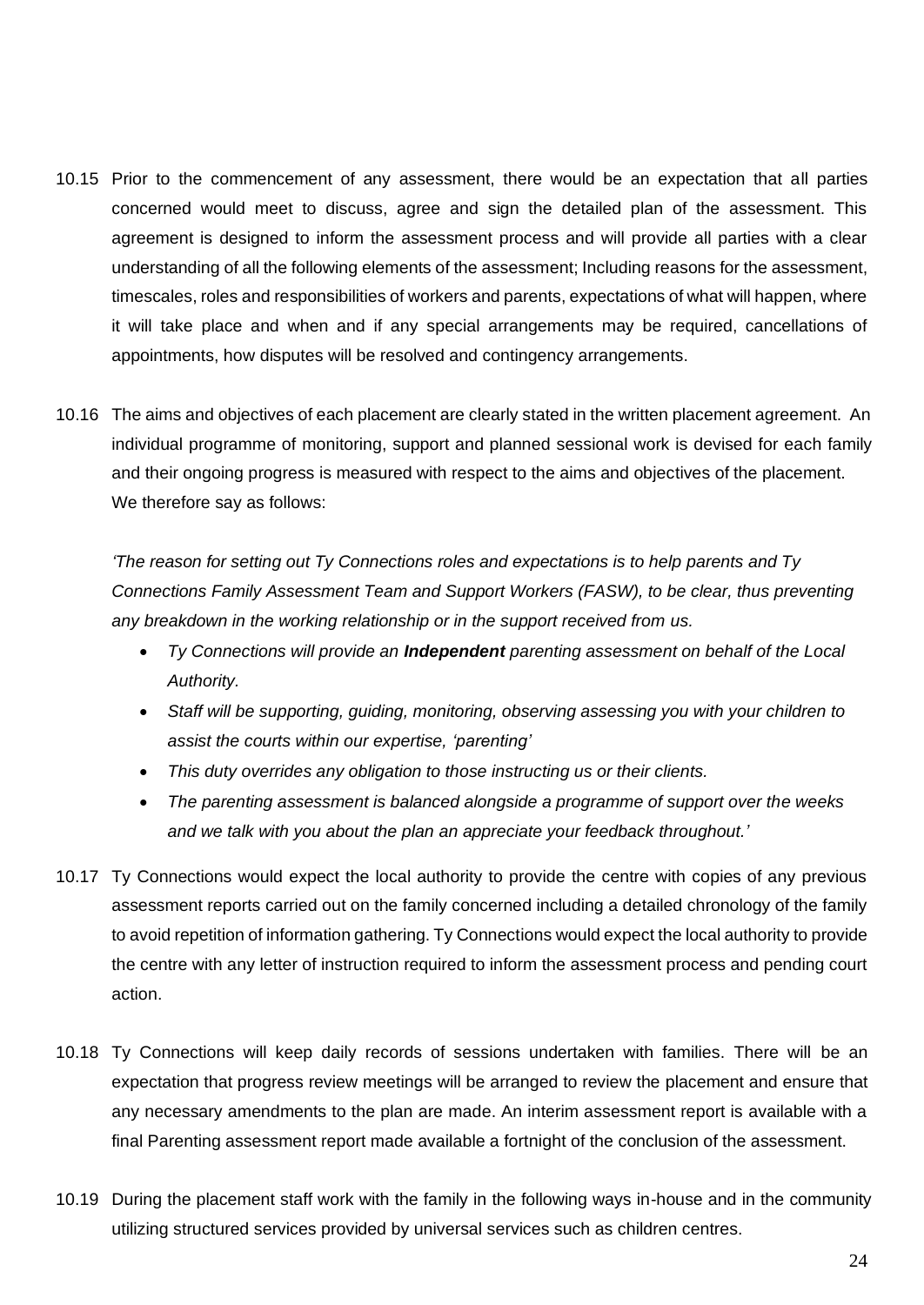- 10.15 Prior to the commencement of any assessment, there would be an expectation that all parties concerned would meet to discuss, agree and sign the detailed plan of the assessment. This agreement is designed to inform the assessment process and will provide all parties with a clear understanding of all the following elements of the assessment; Including reasons for the assessment, timescales, roles and responsibilities of workers and parents, expectations of what will happen, where it will take place and when and if any special arrangements may be required, cancellations of appointments, how disputes will be resolved and contingency arrangements.
- 10.16 The aims and objectives of each placement are clearly stated in the written placement agreement. An individual programme of monitoring, support and planned sessional work is devised for each family and their ongoing progress is measured with respect to the aims and objectives of the placement. We therefore say as follows:

*'The reason for setting out Ty Connections roles and expectations is to help parents and Ty Connections Family Assessment Team and Support Workers (FASW), to be clear, thus preventing any breakdown in the working relationship or in the support received from us.*

- *Ty Connections will provide an Independent parenting assessment on behalf of the Local Authority.*
- *Staff will be supporting, guiding, monitoring, observing assessing you with your children to assist the courts within our expertise, 'parenting'*
- *This duty overrides any obligation to those instructing us or their clients.*
- *The parenting assessment is balanced alongside a programme of support over the weeks and we talk with you about the plan an appreciate your feedback throughout.'*
- 10.17 Ty Connections would expect the local authority to provide the centre with copies of any previous assessment reports carried out on the family concerned including a detailed chronology of the family to avoid repetition of information gathering. Ty Connections would expect the local authority to provide the centre with any letter of instruction required to inform the assessment process and pending court action.
- 10.18 Ty Connections will keep daily records of sessions undertaken with families. There will be an expectation that progress review meetings will be arranged to review the placement and ensure that any necessary amendments to the plan are made. An interim assessment report is available with a final Parenting assessment report made available a fortnight of the conclusion of the assessment.
- 10.19 During the placement staff work with the family in the following ways in-house and in the community utilizing structured services provided by universal services such as children centres.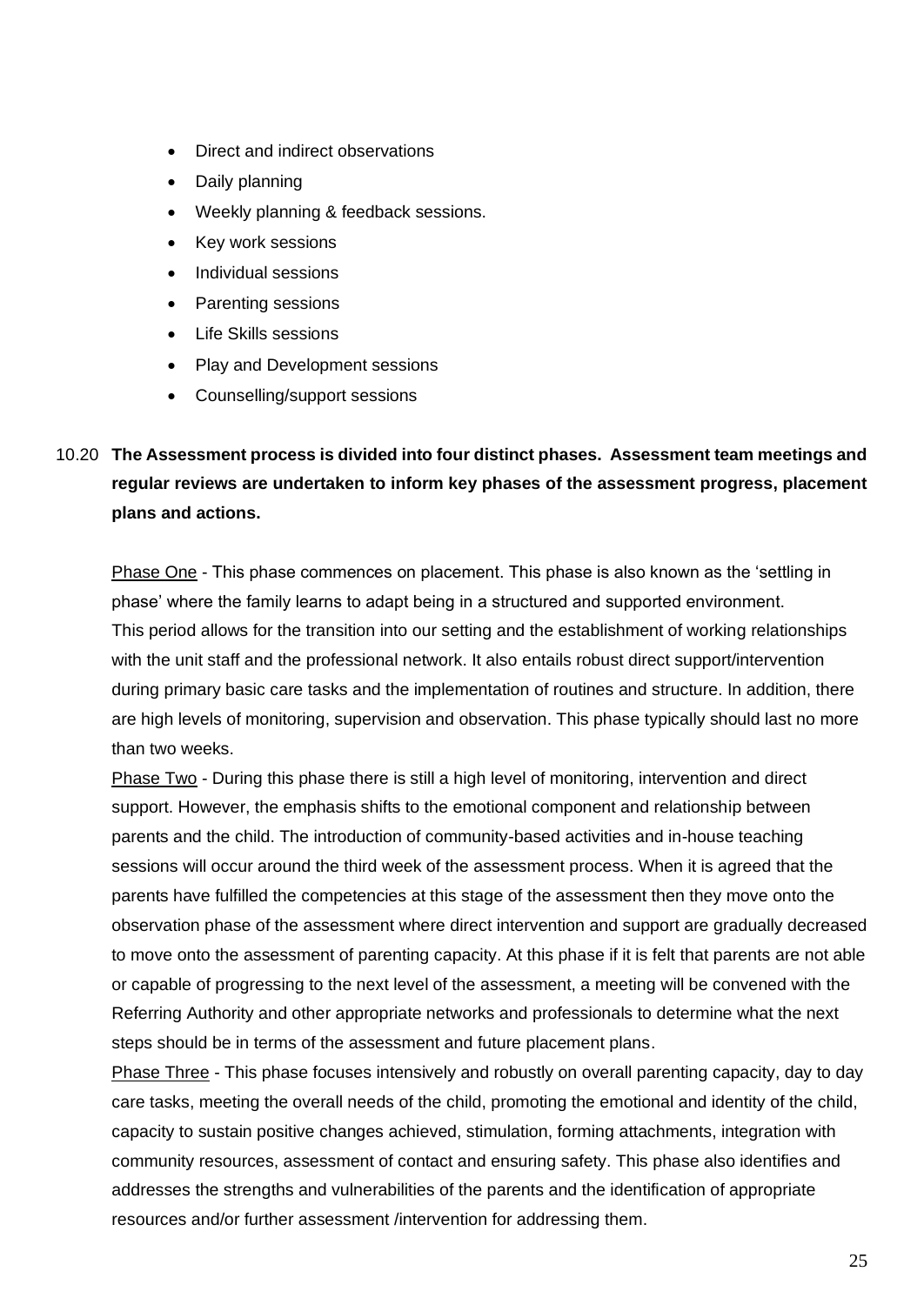- Direct and indirect observations
- Daily planning
- Weekly planning & feedback sessions.
- Key work sessions
- Individual sessions
- Parenting sessions
- Life Skills sessions
- Play and Development sessions
- Counselling/support sessions

# 10.20 **The Assessment process is divided into four distinct phases. Assessment team meetings and regular reviews are undertaken to inform key phases of the assessment progress, placement plans and actions.**

Phase One - This phase commences on placement. This phase is also known as the 'settling in phase' where the family learns to adapt being in a structured and supported environment. This period allows for the transition into our setting and the establishment of working relationships with the unit staff and the professional network. It also entails robust direct support/intervention during primary basic care tasks and the implementation of routines and structure. In addition, there are high levels of monitoring, supervision and observation. This phase typically should last no more than two weeks.

Phase Two - During this phase there is still a high level of monitoring, intervention and direct support. However, the emphasis shifts to the emotional component and relationship between parents and the child. The introduction of community-based activities and in-house teaching sessions will occur around the third week of the assessment process. When it is agreed that the parents have fulfilled the competencies at this stage of the assessment then they move onto the observation phase of the assessment where direct intervention and support are gradually decreased to move onto the assessment of parenting capacity. At this phase if it is felt that parents are not able or capable of progressing to the next level of the assessment, a meeting will be convened with the Referring Authority and other appropriate networks and professionals to determine what the next steps should be in terms of the assessment and future placement plans.

Phase Three - This phase focuses intensively and robustly on overall parenting capacity, day to day care tasks, meeting the overall needs of the child, promoting the emotional and identity of the child, capacity to sustain positive changes achieved, stimulation, forming attachments, integration with community resources, assessment of contact and ensuring safety. This phase also identifies and addresses the strengths and vulnerabilities of the parents and the identification of appropriate resources and/or further assessment /intervention for addressing them.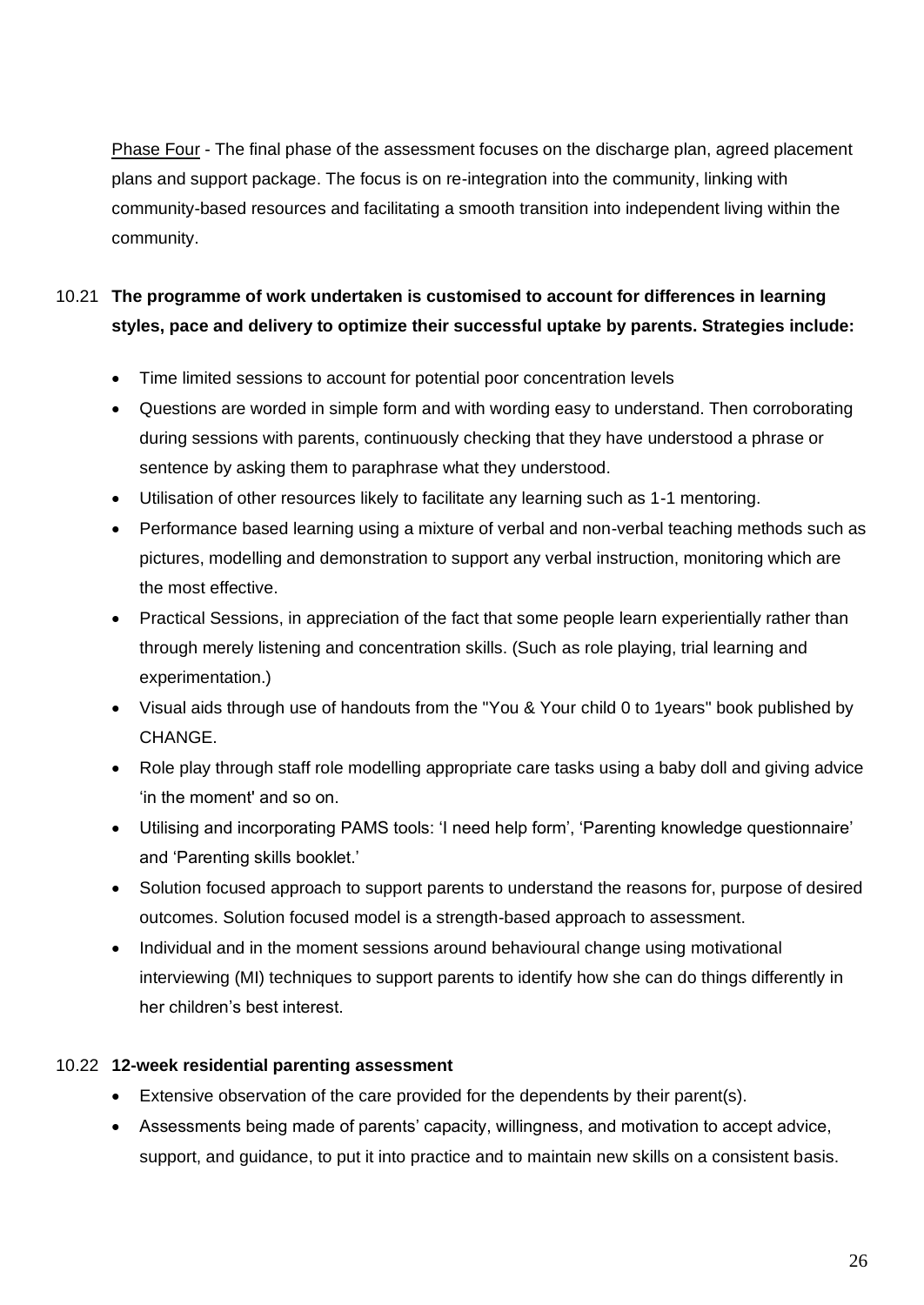Phase Four - The final phase of the assessment focuses on the discharge plan, agreed placement plans and support package. The focus is on re-integration into the community, linking with community-based resources and facilitating a smooth transition into independent living within the community.

# 10.21 **The programme of work undertaken is customised to account for differences in learning styles, pace and delivery to optimize their successful uptake by parents. Strategies include:**

- Time limited sessions to account for potential poor concentration levels
- Questions are worded in simple form and with wording easy to understand. Then corroborating during sessions with parents, continuously checking that they have understood a phrase or sentence by asking them to paraphrase what they understood.
- Utilisation of other resources likely to facilitate any learning such as 1-1 mentoring.
- Performance based learning using a mixture of verbal and non-verbal teaching methods such as pictures, modelling and demonstration to support any verbal instruction, monitoring which are the most effective.
- Practical Sessions, in appreciation of the fact that some people learn experientially rather than through merely listening and concentration skills. (Such as role playing, trial learning and experimentation.)
- Visual aids through use of handouts from the "You & Your child 0 to 1years" book published by CHANGE.
- Role play through staff role modelling appropriate care tasks using a baby doll and giving advice 'in the moment' and so on.
- Utilising and incorporating PAMS tools: 'I need help form', 'Parenting knowledge questionnaire' and 'Parenting skills booklet.'
- Solution focused approach to support parents to understand the reasons for, purpose of desired outcomes. Solution focused model is a strength-based approach to assessment.
- Individual and in the moment sessions around behavioural change using motivational interviewing (MI) techniques to support parents to identify how she can do things differently in her children's best interest.

## 10.22 **12-week residential parenting assessment**

- Extensive observation of the care provided for the dependents by their parent(s).
- Assessments being made of parents' capacity, willingness, and motivation to accept advice, support, and guidance, to put it into practice and to maintain new skills on a consistent basis.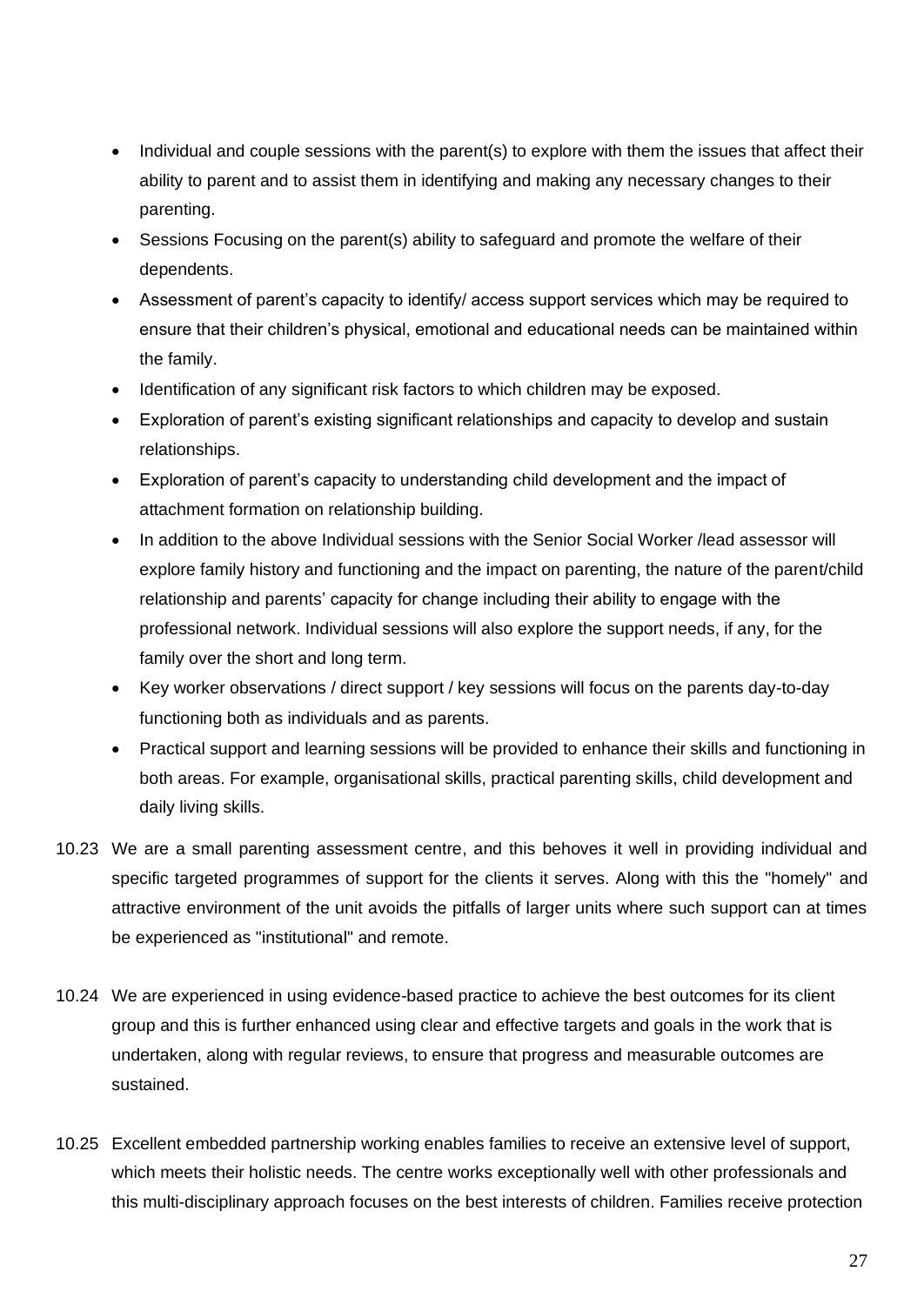- Individual and couple sessions with the parent(s) to explore with them the issues that affect their ability to parent and to assist them in identifying and making any necessary changes to their parenting.
- Sessions Focusing on the parent(s) ability to safeguard and promote the welfare of their dependents.
- Assessment of parent's capacity to identify/ access support services which may be required to ensure that their children's physical, emotional and educational needs can be maintained within the family.
- Identification of any significant risk factors to which children may be exposed.
- Exploration of parent's existing significant relationships and capacity to develop and sustain relationships.
- Exploration of parent's capacity to understanding child development and the impact of attachment formation on relationship building.
- In addition to the above Individual sessions with the Senior Social Worker /lead assessor will explore family history and functioning and the impact on parenting, the nature of the parent/child relationship and parents' capacity for change including their ability to engage with the professional network. Individual sessions will also explore the support needs, if any, for the family over the short and long term.
- Key worker observations / direct support / key sessions will focus on the parents day-to-day functioning both as individuals and as parents.
- Practical support and learning sessions will be provided to enhance their skills and functioning in both areas. For example, organisational skills, practical parenting skills, child development and daily living skills.
- 10.23 We are a small parenting assessment centre, and this behoves it well in providing individual and specific targeted programmes of support for the clients it serves. Along with this the "homely" and attractive environment of the unit avoids the pitfalls of larger units where such support can at times be experienced as "institutional" and remote.
- 10.24 We are experienced in using evidence-based practice to achieve the best outcomes for its client group and this is further enhanced using clear and effective targets and goals in the work that is undertaken, along with regular reviews, to ensure that progress and measurable outcomes are sustained.
- 10.25 Excellent embedded partnership working enables families to receive an extensive level of support, which meets their holistic needs. The centre works exceptionally well with other professionals and this multi-disciplinary approach focuses on the best interests of children. Families receive protection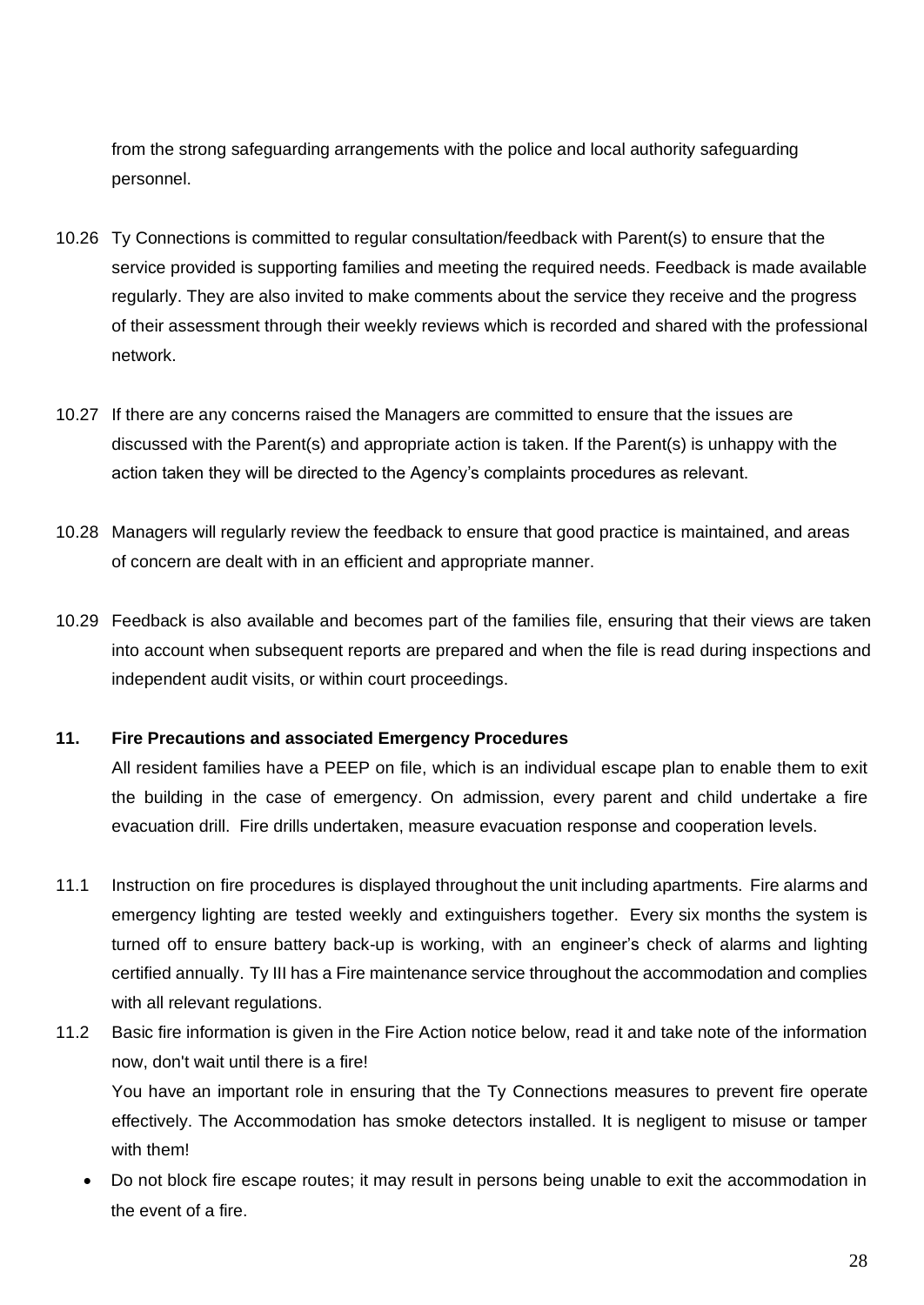from the strong safeguarding arrangements with the police and local authority safeguarding personnel.

- 10.26 Ty Connections is committed to regular consultation/feedback with Parent(s) to ensure that the service provided is supporting families and meeting the required needs. Feedback is made available regularly. They are also invited to make comments about the service they receive and the progress of their assessment through their weekly reviews which is recorded and shared with the professional network.
- 10.27 If there are any concerns raised the Managers are committed to ensure that the issues are discussed with the Parent(s) and appropriate action is taken. If the Parent(s) is unhappy with the action taken they will be directed to the Agency's complaints procedures as relevant.
- 10.28 Managers will regularly review the feedback to ensure that good practice is maintained, and areas of concern are dealt with in an efficient and appropriate manner.
- 10.29 Feedback is also available and becomes part of the families file, ensuring that their views are taken into account when subsequent reports are prepared and when the file is read during inspections and independent audit visits, or within court proceedings.

## **11. Fire Precautions and associated Emergency Procedures**

All resident families have a PEEP on file, which is an individual escape plan to enable them to exit the building in the case of emergency. On admission, every parent and child undertake a fire evacuation drill. Fire drills undertaken, measure evacuation response and cooperation levels.

- 11.1 Instruction on fire procedures is displayed throughout the unit including apartments. Fire alarms and emergency lighting are tested weekly and extinguishers together. Every six months the system is turned off to ensure battery back-up is working, with an engineer's check of alarms and lighting certified annually. Ty III has a Fire maintenance service throughout the accommodation and complies with all relevant regulations.
- 11.2 Basic fire information is given in the Fire Action notice below, read it and take note of the information now, don't wait until there is a fire! You have an important role in ensuring that the Ty Connections measures to prevent fire operate effectively. The Accommodation has smoke detectors installed. It is negligent to misuse or tamper with them!
	- Do not block fire escape routes; it may result in persons being unable to exit the accommodation in the event of a fire.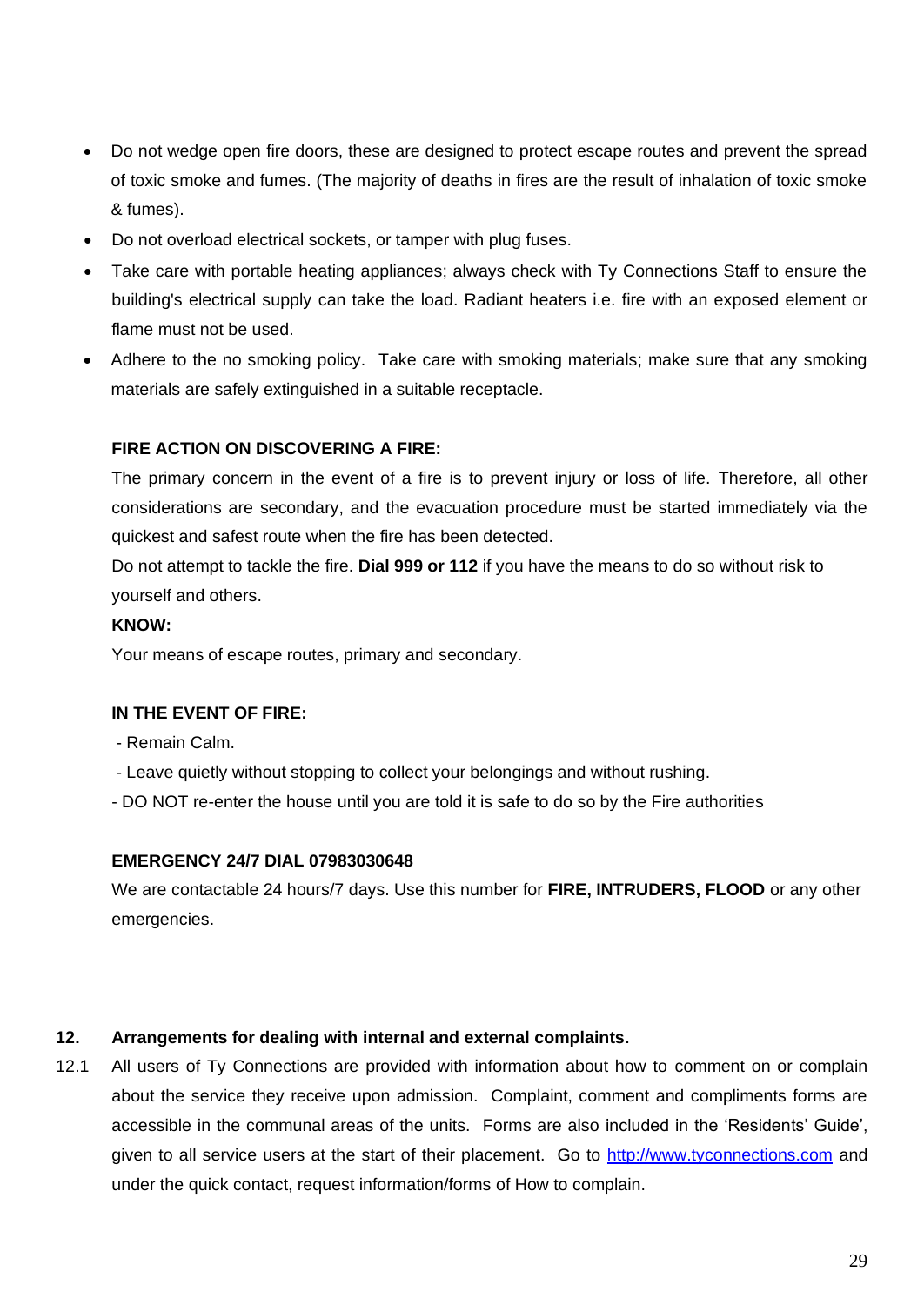- Do not wedge open fire doors, these are designed to protect escape routes and prevent the spread of toxic smoke and fumes. (The majority of deaths in fires are the result of inhalation of toxic smoke & fumes).
- Do not overload electrical sockets, or tamper with plug fuses.
- Take care with portable heating appliances; always check with Ty Connections Staff to ensure the building's electrical supply can take the load. Radiant heaters i.e. fire with an exposed element or flame must not be used.
- Adhere to the no smoking policy. Take care with smoking materials; make sure that any smoking materials are safely extinguished in a suitable receptacle.

## **FIRE ACTION ON DISCOVERING A FIRE:**

The primary concern in the event of a fire is to prevent injury or loss of life. Therefore, all other considerations are secondary, and the evacuation procedure must be started immediately via the quickest and safest route when the fire has been detected.

Do not attempt to tackle the fire. **Dial 999 or 112** if you have the means to do so without risk to yourself and others.

## **KNOW:**

Your means of escape routes, primary and secondary.

## **IN THE EVENT OF FIRE:**

- Remain Calm.

- Leave quietly without stopping to collect your belongings and without rushing.
- DO NOT re-enter the house until you are told it is safe to do so by the Fire authorities

## **EMERGENCY 24/7 DIAL 07983030648**

We are contactable 24 hours/7 days. Use this number for **FIRE, INTRUDERS, FLOOD** or any other emergencies.

## **12. Arrangements for dealing with internal and external complaints.**

12.1 All users of Ty Connections are provided with information about how to comment on or complain about the service they receive upon admission. Complaint, comment and compliments forms are accessible in the communal areas of the units. Forms are also included in the 'Residents' Guide', given to all service users at the start of their placement. Go to [http://www.tyconnections.com](http://www.tyconnections.com/) and under the quick contact, request information/forms of How to complain.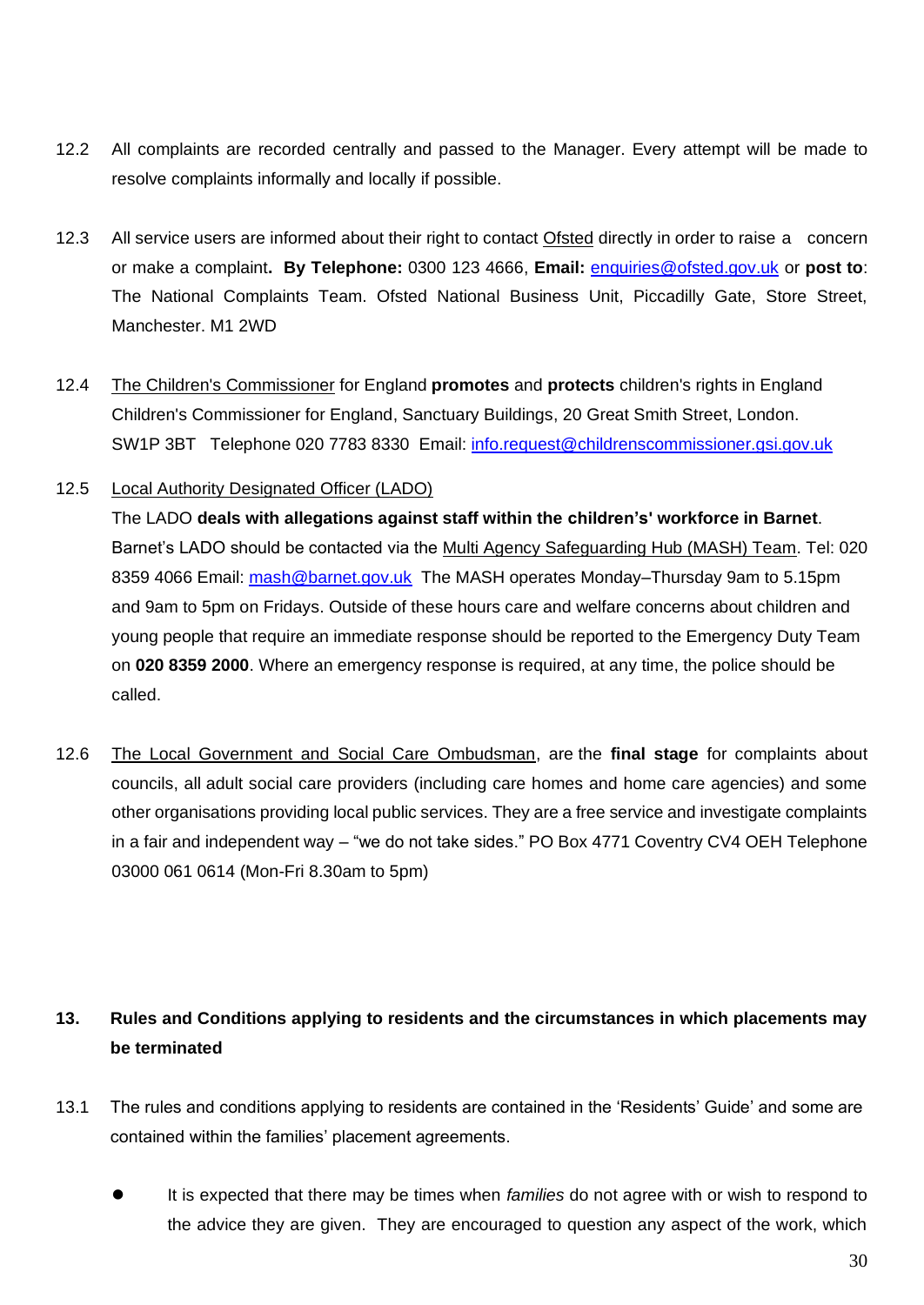- 12.2 All complaints are recorded centrally and passed to the Manager. Every attempt will be made to resolve complaints informally and locally if possible.
- 12.3 All service users are informed about their right to contact Ofsted directly in order to raise a concern or make a complaint**. By Telephone:** 0300 123 4666, **Email:** [enquiries@ofsted.gov.uk](mailto:enquiries@ofsted.gov.uk) or **post to**: The National Complaints Team. Ofsted National Business Unit, Piccadilly Gate, Store Street, Manchester. M1 2WD
- 12.4 The Children's Commissioner for England **promotes** and **protects** children's rights in England Children's Commissioner for England, Sanctuary Buildings, 20 Great Smith Street, London. SW1P 3BT Telephone 020 7783 8330 Email: [info.request@childrenscommissioner.gsi.gov.uk](mailto:info.request@childrenscommissioner.gsi.gov.uk)
- 12.5 Local Authority Designated Officer (LADO)

The LADO **deals with allegations against staff within the children's' workforce in Barnet**. Barnet's LADO should be contacted via the [Multi Agency Safeguarding Hub \(MASH\) Team.](http://www.barnet.gov.uk/wwcib/mash) Tel: 020 8359 4066 Email: [mash@barnet.gov.uk](mailto:mash@barnet.gov.uk) The MASH operates Monday–Thursday 9am to 5.15pm and 9am to 5pm on Fridays. Outside of these hours care and welfare concerns about children and young people that require an immediate response should be reported to the Emergency Duty Team on **020 8359 2000**. Where an emergency response is required, at any time, the police should be called.

12.6 The Local Government and Social Care Ombudsman, are the **final stage** for complaints about councils, all adult social care providers (including care homes and home care agencies) and some other organisations providing local public services. They are a free service and investigate complaints in a fair and independent way – "we do not take sides." PO Box 4771 Coventry CV4 OEH Telephone 03000 061 0614 (Mon-Fri 8.30am to 5pm)

# **13. Rules and Conditions applying to residents and the circumstances in which placements may be terminated**

- 13.1 The rules and conditions applying to residents are contained in the 'Residents' Guide' and some are contained within the families' placement agreements.
	- ⚫ It is expected that there may be times when *families* do not agree with or wish to respond to the advice they are given. They are encouraged to question any aspect of the work, which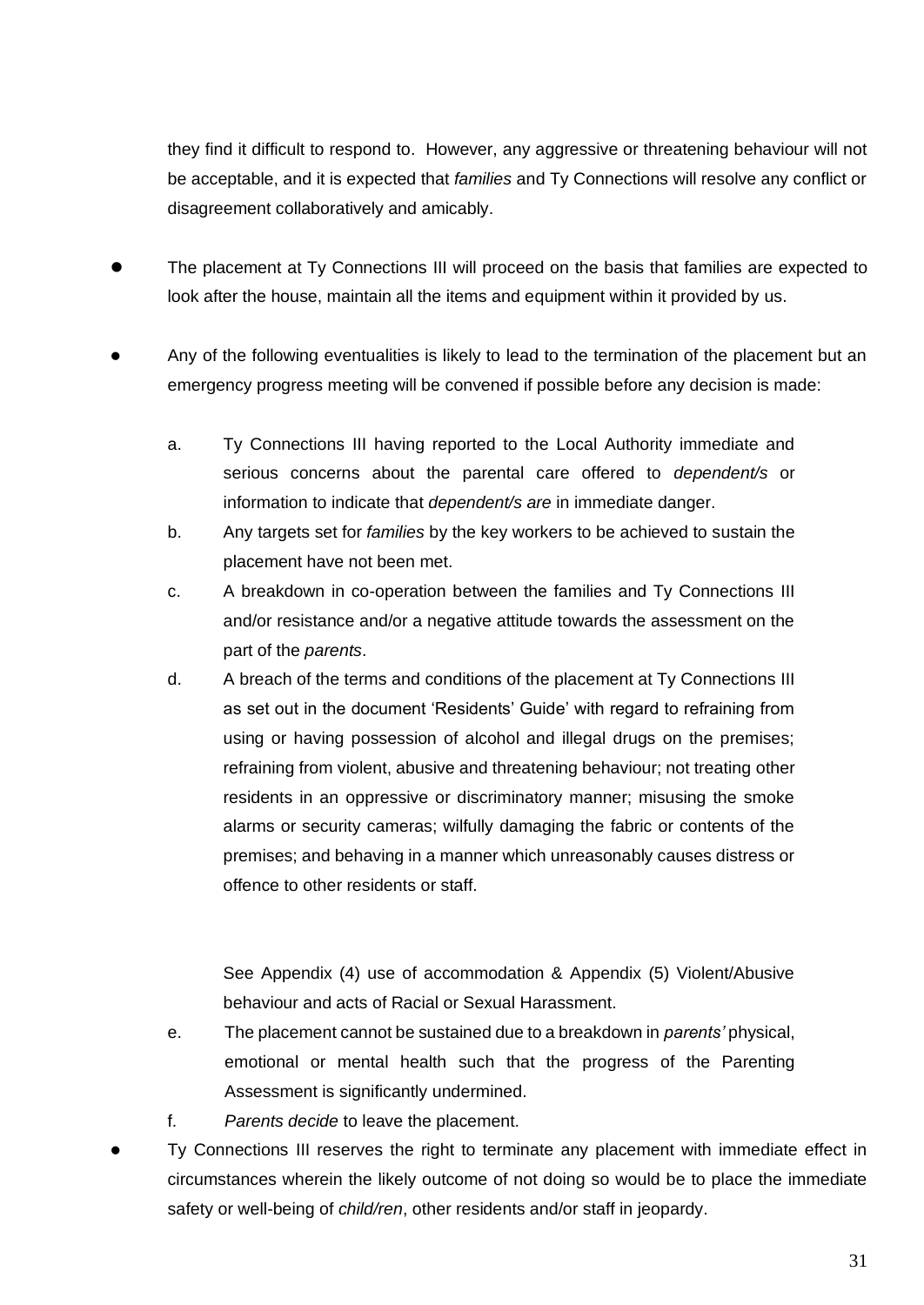they find it difficult to respond to. However, any aggressive or threatening behaviour will not be acceptable, and it is expected that *families* and Ty Connections will resolve any conflict or disagreement collaboratively and amicably.

- ⚫ The placement at Ty Connections III will proceed on the basis that families are expected to look after the house, maintain all the items and equipment within it provided by us.
- ⚫ Any of the following eventualities is likely to lead to the termination of the placement but an emergency progress meeting will be convened if possible before any decision is made:
	- a. Ty Connections III having reported to the Local Authority immediate and serious concerns about the parental care offered to *dependent/s* or information to indicate that *dependent/s are* in immediate danger.
	- b. Any targets set for *families* by the key workers to be achieved to sustain the placement have not been met.
	- c. A breakdown in co-operation between the families and Ty Connections III and/or resistance and/or a negative attitude towards the assessment on the part of the *parents*.
	- d. A breach of the terms and conditions of the placement at Ty Connections III as set out in the document 'Residents' Guide' with regard to refraining from using or having possession of alcohol and illegal drugs on the premises; refraining from violent, abusive and threatening behaviour; not treating other residents in an oppressive or discriminatory manner; misusing the smoke alarms or security cameras; wilfully damaging the fabric or contents of the premises; and behaving in a manner which unreasonably causes distress or offence to other residents or staff.

See Appendix (4) use of accommodation & Appendix (5) Violent/Abusive behaviour and acts of Racial or Sexual Harassment.

- e. The placement cannot be sustained due to a breakdown in *parents'* physical, emotional or mental health such that the progress of the Parenting Assessment is significantly undermined.
- f. *Parents decide* to leave the placement.
- ⚫ Ty Connections III reserves the right to terminate any placement with immediate effect in circumstances wherein the likely outcome of not doing so would be to place the immediate safety or well-being of *child/ren*, other residents and/or staff in jeopardy.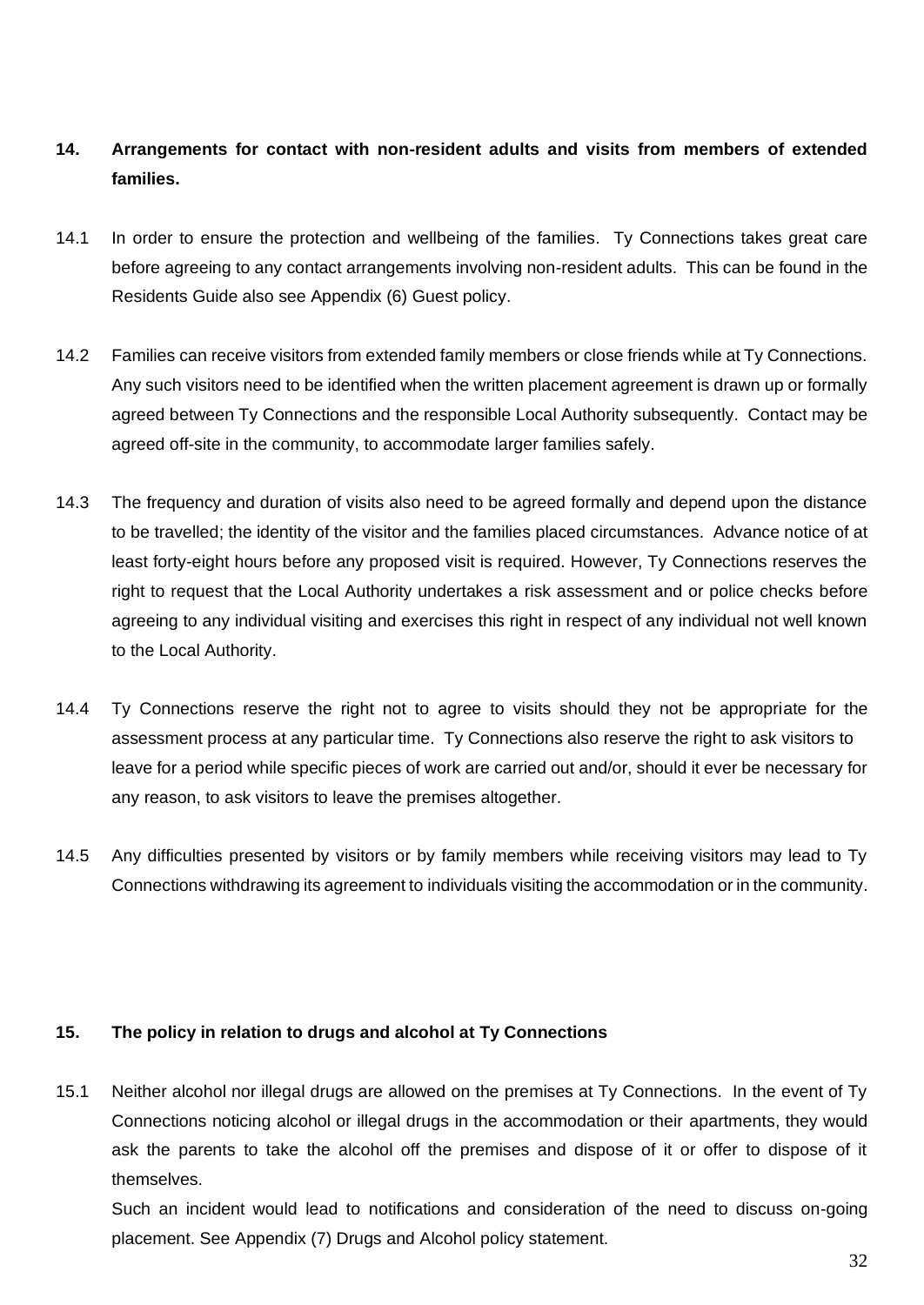# **14. Arrangements for contact with non-resident adults and visits from members of extended families.**

- 14.1 In order to ensure the protection and wellbeing of the families. Ty Connections takes great care before agreeing to any contact arrangements involving non-resident adults. This can be found in the Residents Guide also see Appendix (6) Guest policy.
- 14.2 Families can receive visitors from extended family members or close friends while at Ty Connections. Any such visitors need to be identified when the written placement agreement is drawn up or formally agreed between Ty Connections and the responsible Local Authority subsequently. Contact may be agreed off-site in the community, to accommodate larger families safely.
- 14.3 The frequency and duration of visits also need to be agreed formally and depend upon the distance to be travelled; the identity of the visitor and the families placed circumstances. Advance notice of at least forty-eight hours before any proposed visit is required. However, Ty Connections reserves the right to request that the Local Authority undertakes a risk assessment and or police checks before agreeing to any individual visiting and exercises this right in respect of any individual not well known to the Local Authority.
- 14.4 Ty Connections reserve the right not to agree to visits should they not be appropriate for the assessment process at any particular time. Ty Connections also reserve the right to ask visitors to leave for a period while specific pieces of work are carried out and/or, should it ever be necessary for any reason, to ask visitors to leave the premises altogether.
- 14.5 Any difficulties presented by visitors or by family members while receiving visitors may lead to Ty Connections withdrawing its agreement to individuals visiting the accommodation or in the community.

## **15. The policy in relation to drugs and alcohol at Ty Connections**

15.1 Neither alcohol nor illegal drugs are allowed on the premises at Ty Connections. In the event of Ty Connections noticing alcohol or illegal drugs in the accommodation or their apartments, they would ask the parents to take the alcohol off the premises and dispose of it or offer to dispose of it themselves.

Such an incident would lead to notifications and consideration of the need to discuss on-going placement. See Appendix (7) Drugs and Alcohol policy statement.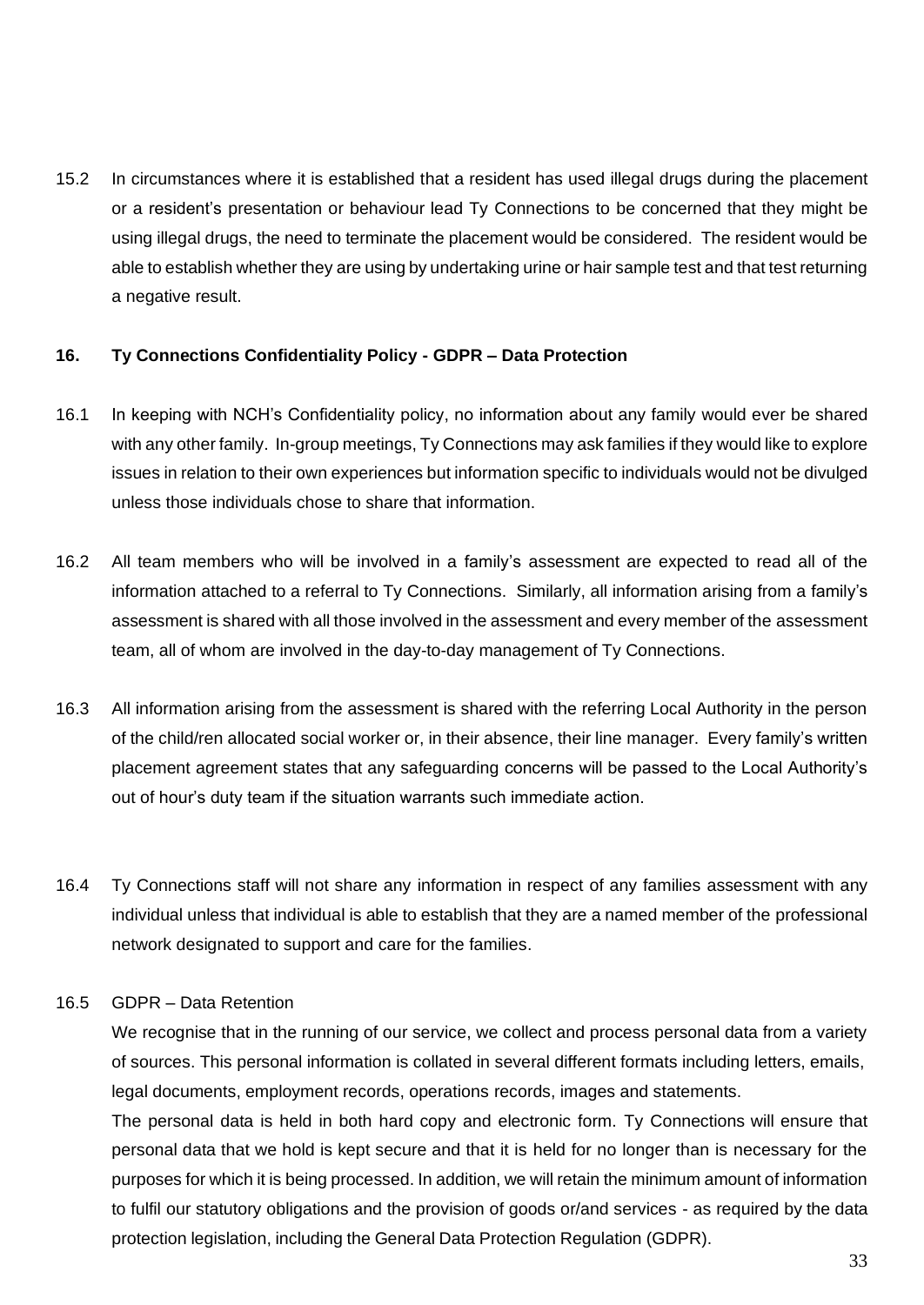15.2 In circumstances where it is established that a resident has used illegal drugs during the placement or a resident's presentation or behaviour lead Ty Connections to be concerned that they might be using illegal drugs, the need to terminate the placement would be considered. The resident would be able to establish whether they are using by undertaking urine or hair sample test and that test returning a negative result.

## **16. Ty Connections Confidentiality Policy - GDPR – Data Protection**

- 16.1 In keeping with NCH's Confidentiality policy, no information about any family would ever be shared with any other family. In-group meetings, Ty Connections may ask families if they would like to explore issues in relation to their own experiences but information specific to individuals would not be divulged unless those individuals chose to share that information.
- 16.2 All team members who will be involved in a family's assessment are expected to read all of the information attached to a referral to Ty Connections. Similarly, all information arising from a family's assessment is shared with all those involved in the assessment and every member of the assessment team, all of whom are involved in the day-to-day management of Ty Connections.
- 16.3 All information arising from the assessment is shared with the referring Local Authority in the person of the child/ren allocated social worker or, in their absence, their line manager. Every family's written placement agreement states that any safeguarding concerns will be passed to the Local Authority's out of hour's duty team if the situation warrants such immediate action.
- 16.4 Ty Connections staff will not share any information in respect of any families assessment with any individual unless that individual is able to establish that they are a named member of the professional network designated to support and care for the families.

#### 16.5 GDPR – Data Retention

We recognise that in the running of our service, we collect and process personal data from a variety of sources. This personal information is collated in several different formats including letters, emails, legal documents, employment records, operations records, images and statements.

The personal data is held in both hard copy and electronic form. Ty Connections will ensure that personal data that we hold is kept secure and that it is held for no longer than is necessary for the purposes for which it is being processed. In addition, we will retain the minimum amount of information to fulfil our statutory obligations and the provision of goods or/and services - as required by the data protection legislation, including the General Data Protection Regulation (GDPR).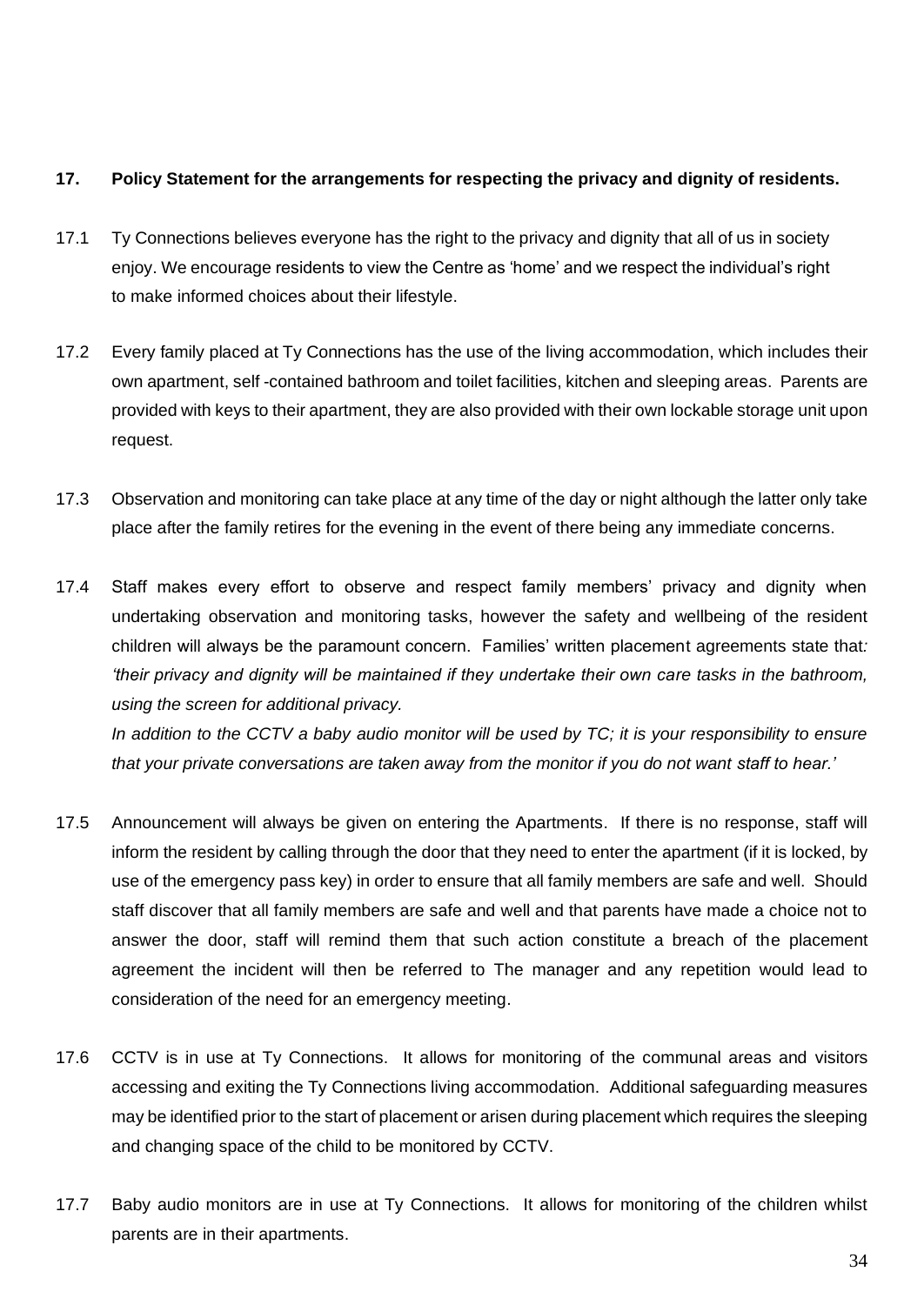## **17. Policy Statement for the arrangements for respecting the privacy and dignity of residents.**

- 17.1 Ty Connections believes everyone has the right to the privacy and dignity that all of us in society enjoy. We encourage residents to view the Centre as 'home' and we respect the individual's right to make informed choices about their lifestyle.
- 17.2 Every family placed at Ty Connections has the use of the living accommodation, which includes their own apartment, self -contained bathroom and toilet facilities, kitchen and sleeping areas. Parents are provided with keys to their apartment, they are also provided with their own lockable storage unit upon request.
- 17.3 Observation and monitoring can take place at any time of the day or night although the latter only take place after the family retires for the evening in the event of there being any immediate concerns.
- 17.4 Staff makes every effort to observe and respect family members' privacy and dignity when undertaking observation and monitoring tasks, however the safety and wellbeing of the resident children will always be the paramount concern. Families' written placement agreements state that*: 'their privacy and dignity will be maintained if they undertake their own care tasks in the bathroom, using the screen for additional privacy. In addition to the CCTV a baby audio monitor will be used by TC; it is your responsibility to ensure*

*that your private conversations are taken away from the monitor if you do not want staff to hear.'*

- 17.5 Announcement will always be given on entering the Apartments. If there is no response, staff will inform the resident by calling through the door that they need to enter the apartment (if it is locked, by use of the emergency pass key) in order to ensure that all family members are safe and well. Should staff discover that all family members are safe and well and that parents have made a choice not to answer the door, staff will remind them that such action constitute a breach of the placement agreement the incident will then be referred to The manager and any repetition would lead to consideration of the need for an emergency meeting.
- 17.6 CCTV is in use at Ty Connections. It allows for monitoring of the communal areas and visitors accessing and exiting the Ty Connections living accommodation. Additional safeguarding measures may be identified prior to the start of placement or arisen during placement which requires the sleeping and changing space of the child to be monitored by CCTV.
- 17.7 Baby audio monitors are in use at Ty Connections. It allows for monitoring of the children whilst parents are in their apartments.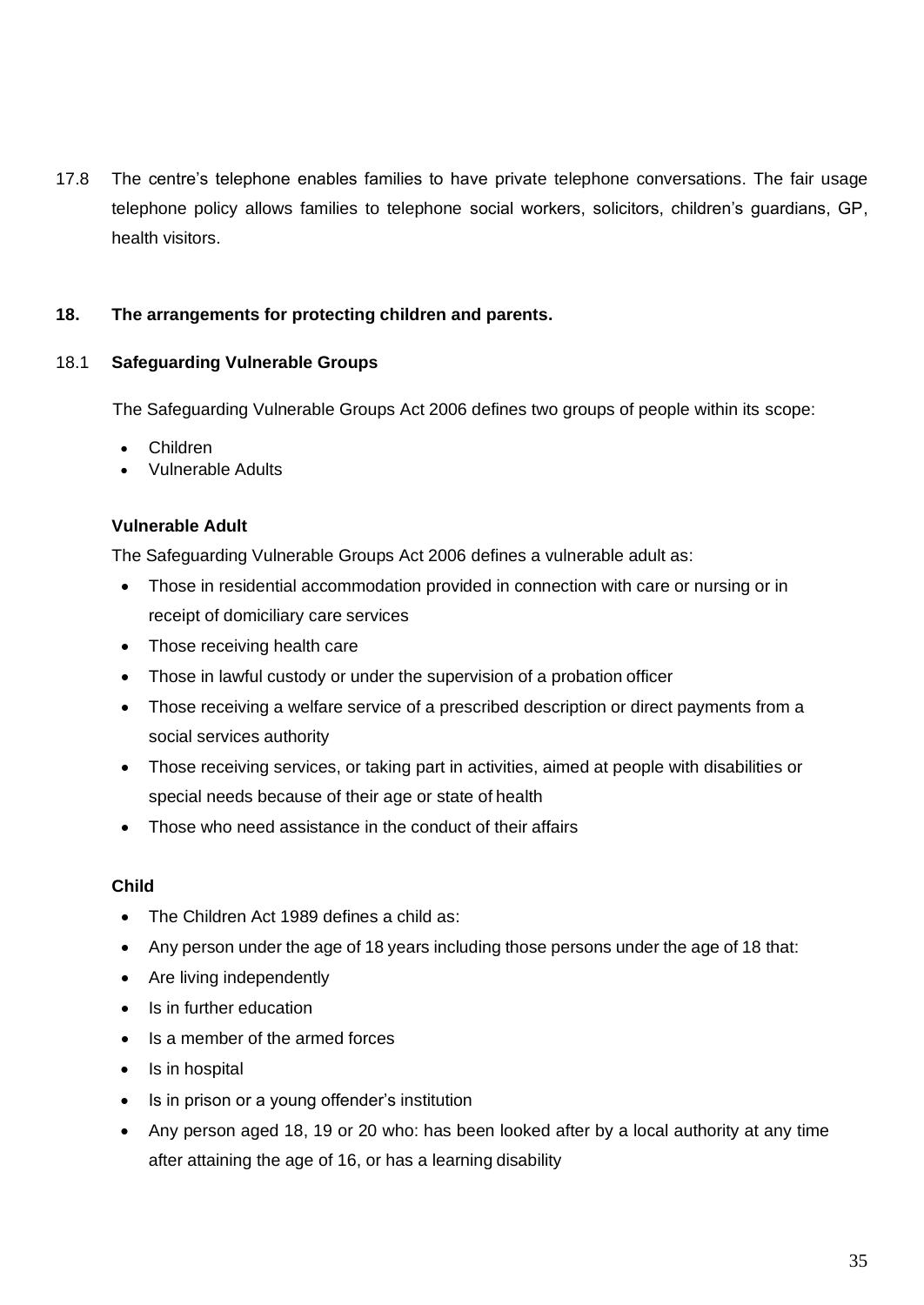17.8 The centre's telephone enables families to have private telephone conversations. The fair usage telephone policy allows families to telephone social workers, solicitors, children's guardians, GP, health visitors.

## **18. The arrangements for protecting children and parents.**

## 18.1 **Safeguarding Vulnerable Groups**

The Safeguarding Vulnerable Groups Act 2006 defines two groups of people within its scope:

- Children
- Vulnerable Adults

## **Vulnerable Adult**

The Safeguarding Vulnerable Groups Act 2006 defines a vulnerable adult as:

- Those in residential accommodation provided in connection with care or nursing or in receipt of domiciliary care services
- Those receiving health care
- Those in lawful custody or under the supervision of a probation officer
- Those receiving a welfare service of a prescribed description or direct payments from a social services authority
- Those receiving services, or taking part in activities, aimed at people with disabilities or special needs because of their age or state of health
- Those who need assistance in the conduct of their affairs

## **Child**

- The Children Act 1989 defines a child as:
- Any person under the age of 18 years including those persons under the age of 18 that:
- Are living independently
- Is in further education
- Is a member of the armed forces
- Is in hospital
- Is in prison or a young offender's institution
- Any person aged 18, 19 or 20 who: has been looked after by a local authority at any time after attaining the age of 16, or has a learning disability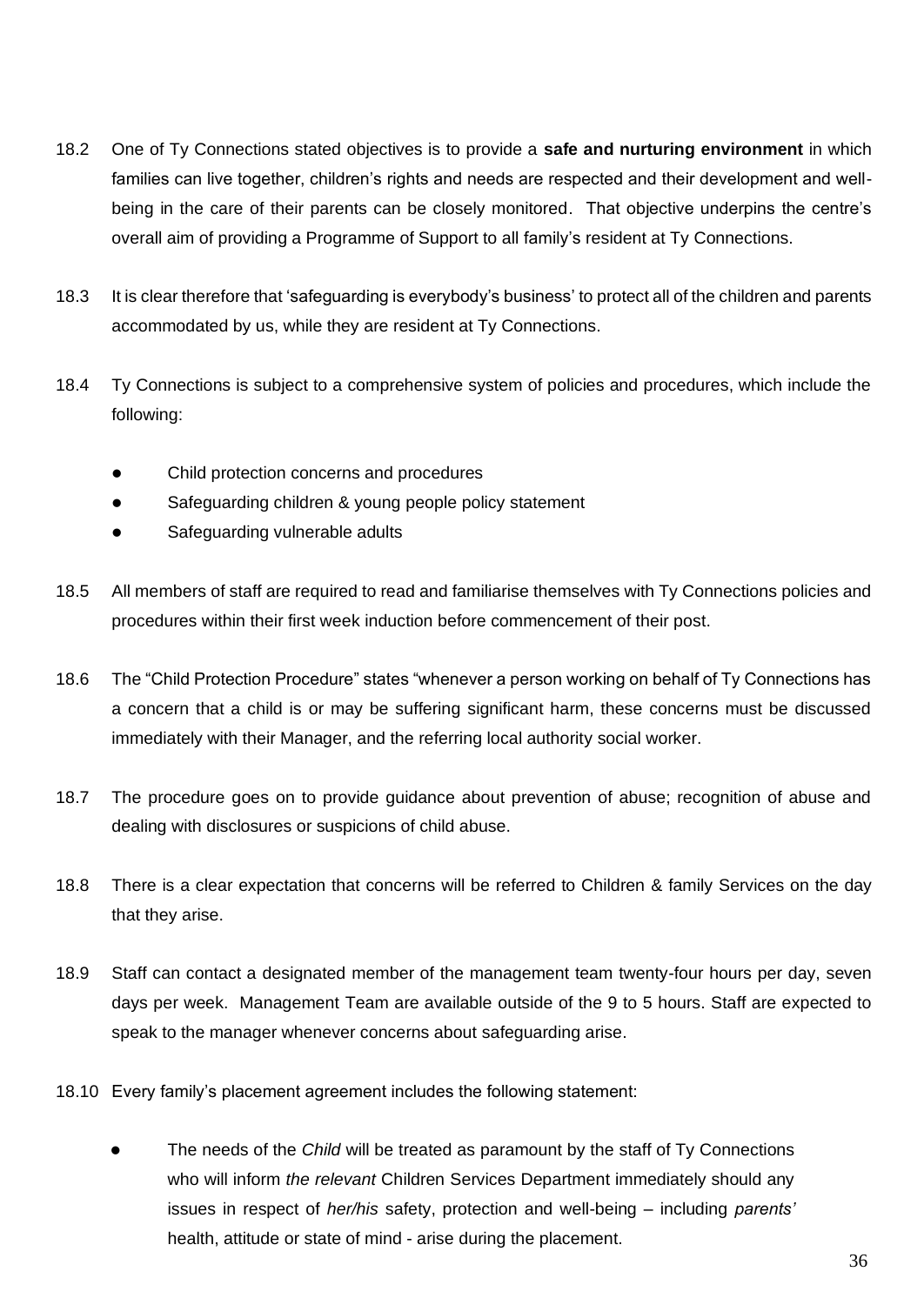- 18.2 One of Ty Connections stated objectives is to provide a **safe and nurturing environment** in which families can live together, children's rights and needs are respected and their development and wellbeing in the care of their parents can be closely monitored. That objective underpins the centre's overall aim of providing a Programme of Support to all family's resident at Ty Connections.
- 18.3 It is clear therefore that 'safeguarding is everybody's business' to protect all of the children and parents accommodated by us, while they are resident at Ty Connections.
- 18.4 Ty Connections is subject to a comprehensive system of policies and procedures, which include the following:
	- ⚫ Child protection concerns and procedures
	- Safeguarding children & young people policy statement
	- ⚫ Safeguarding vulnerable adults
- 18.5 All members of staff are required to read and familiarise themselves with Ty Connections policies and procedures within their first week induction before commencement of their post.
- 18.6 The "Child Protection Procedure" states "whenever a person working on behalf of Ty Connections has a concern that a child is or may be suffering significant harm, these concerns must be discussed immediately with their Manager, and the referring local authority social worker.
- 18.7 The procedure goes on to provide guidance about prevention of abuse; recognition of abuse and dealing with disclosures or suspicions of child abuse.
- 18.8 There is a clear expectation that concerns will be referred to Children & family Services on the day that they arise.
- 18.9 Staff can contact a designated member of the management team twenty-four hours per day, seven days per week. Management Team are available outside of the 9 to 5 hours. Staff are expected to speak to the manager whenever concerns about safeguarding arise.
- 18.10 Every family's placement agreement includes the following statement:
	- ⚫ The needs of the *Child* will be treated as paramount by the staff of Ty Connections who will inform *the relevant* Children Services Department immediately should any issues in respect of *her/his* safety, protection and well-being – including *parents'* health, attitude or state of mind - arise during the placement.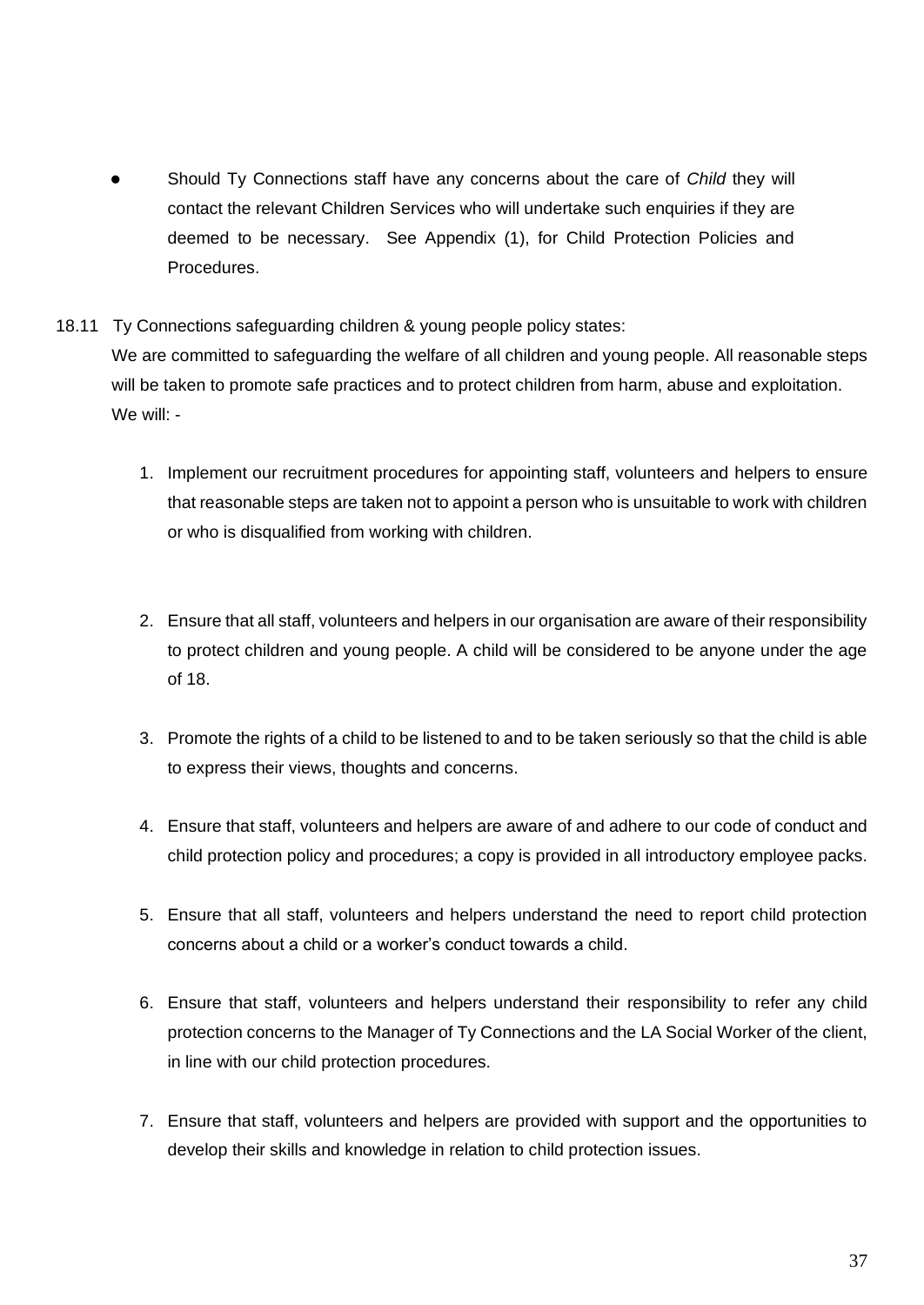- ⚫ Should Ty Connections staff have any concerns about the care of *Child* they will contact the relevant Children Services who will undertake such enquiries if they are deemed to be necessary. See Appendix (1), for Child Protection Policies and Procedures.
- 18.11 Ty Connections safeguarding children & young people policy states:

We are committed to safeguarding the welfare of all children and young people. All reasonable steps will be taken to promote safe practices and to protect children from harm, abuse and exploitation. We will: -

- 1. Implement our recruitment procedures for appointing staff, volunteers and helpers to ensure that reasonable steps are taken not to appoint a person who is unsuitable to work with children or who is disqualified from working with children.
- 2. Ensure that all staff, volunteers and helpers in our organisation are aware of their responsibility to protect children and young people. A child will be considered to be anyone under the age of 18.
- 3. Promote the rights of a child to be listened to and to be taken seriously so that the child is able to express their views, thoughts and concerns.
- 4. Ensure that staff, volunteers and helpers are aware of and adhere to our code of conduct and child protection policy and procedures; a copy is provided in all introductory employee packs.
- 5. Ensure that all staff, volunteers and helpers understand the need to report child protection concerns about a child or a worker's conduct towards a child.
- 6. Ensure that staff, volunteers and helpers understand their responsibility to refer any child protection concerns to the Manager of Ty Connections and the LA Social Worker of the client, in line with our child protection procedures.
- 7. Ensure that staff, volunteers and helpers are provided with support and the opportunities to develop their skills and knowledge in relation to child protection issues.